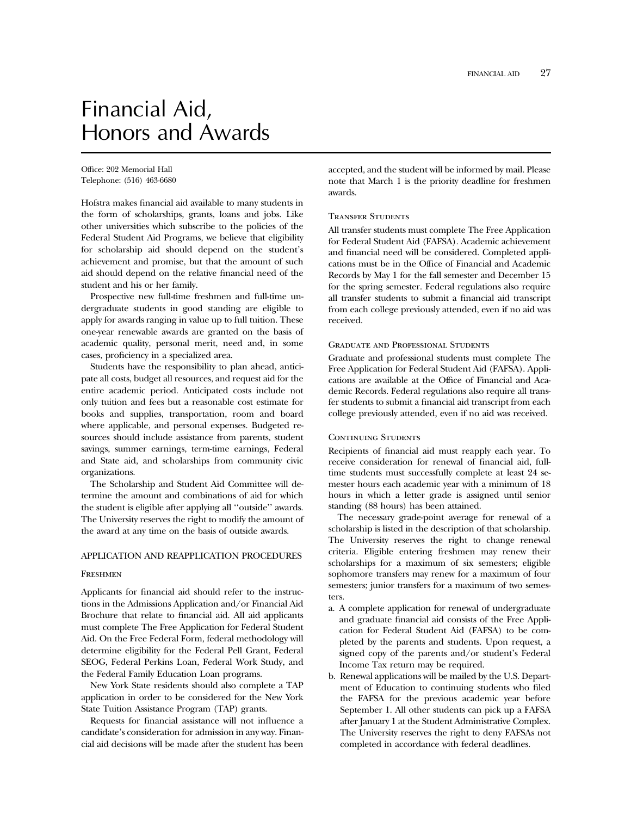# Financial Aid, Honors and Awards

Office: 202 Memorial Hall Telephone: (516) 463-6680

Hofstra makes financial aid available to many students in the form of scholarships, grants, loans and jobs. Like other universities which subscribe to the policies of the Federal Student Aid Programs, we believe that eligibility for scholarship aid should depend on the student's achievement and promise, but that the amount of such aid should depend on the relative financial need of the student and his or her family.

Prospective new full-time freshmen and full-time undergraduate students in good standing are eligible to apply for awards ranging in value up to full tuition. These one-year renewable awards are granted on the basis of academic quality, personal merit, need and, in some cases, proficiency in a specialized area.

Students have the responsibility to plan ahead, anticipate all costs, budget all resources, and request aid for the entire academic period. Anticipated costs include not only tuition and fees but a reasonable cost estimate for books and supplies, transportation, room and board where applicable, and personal expenses. Budgeted resources should include assistance from parents, student savings, summer earnings, term-time earnings, Federal and State aid, and scholarships from community civic organizations.

The Scholarship and Student Aid Committee will determine the amount and combinations of aid for which the student is eligible after applying all ''outside'' awards. The University reserves the right to modify the amount of the award at any time on the basis of outside awards.

#### APPLICATION AND REAPPLICATION PROCEDURES

#### Freshmen

Applicants for financial aid should refer to the instructions in the Admissions Application and/or Financial Aid Brochure that relate to financial aid. All aid applicants must complete The Free Application for Federal Student Aid. On the Free Federal Form, federal methodology will determine eligibility for the Federal Pell Grant, Federal SEOG, Federal Perkins Loan, Federal Work Study, and the Federal Family Education Loan programs.

New York State residents should also complete a TAP application in order to be considered for the New York State Tuition Assistance Program (TAP) grants.

Requests for financial assistance will not influence a candidate's consideration for admission in any way. Financial aid decisions will be made after the student has been

accepted, and the student will be informed by mail. Please note that March 1 is the priority deadline for freshmen awards.

#### Transfer Students

All transfer students must complete The Free Application for Federal Student Aid (FAFSA). Academic achievement and financial need will be considered. Completed applications must be in the Office of Financial and Academic Records by May 1 for the fall semester and December 15 for the spring semester. Federal regulations also require all transfer students to submit a financial aid transcript from each college previously attended, even if no aid was received.

#### Graduate and Professional Students

Graduate and professional students must complete The Free Application for Federal Student Aid (FAFSA). Applications are available at the Office of Financial and Academic Records. Federal regulations also require all transfer students to submit a financial aid transcript from each college previously attended, even if no aid was received.

#### CONTINUING STUDENTS

Recipients of financial aid must reapply each year. To receive consideration for renewal of financial aid, fulltime students must successfully complete at least 24 semester hours each academic year with a minimum of 18 hours in which a letter grade is assigned until senior standing (88 hours) has been attained.

The necessary grade-point average for renewal of a scholarship is listed in the description of that scholarship. The University reserves the right to change renewal criteria. Eligible entering freshmen may renew their scholarships for a maximum of six semesters; eligible sophomore transfers may renew for a maximum of four semesters; junior transfers for a maximum of two semesters.

- a. A complete application for renewal of undergraduate and graduate financial aid consists of the Free Application for Federal Student Aid (FAFSA) to be completed by the parents and students. Upon request, a signed copy of the parents and/or student's Federal Income Tax return may be required.
- b. Renewal applications will be mailed by the U.S. Department of Education to continuing students who filed the FAFSA for the previous academic year before September 1. All other students can pick up a FAFSA after January 1 at the Student Administrative Complex. The University reserves the right to deny FAFSAs not completed in accordance with federal deadlines.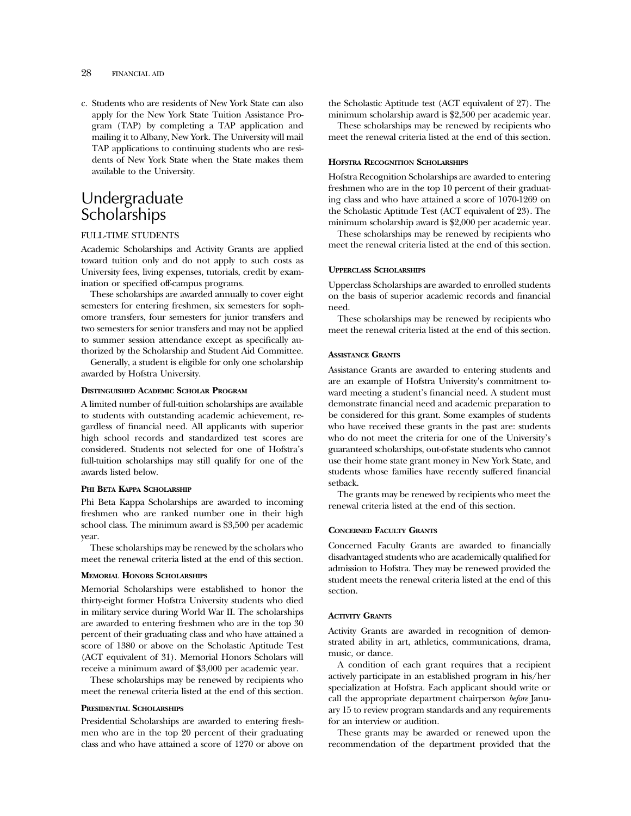c. Students who are residents of New York State can also apply for the New York State Tuition Assistance Program (TAP) by completing a TAP application and mailing it to Albany, New York. The University will mail TAP applications to continuing students who are residents of New York State when the State makes them available to the University.

## Undergraduate **Scholarships**

#### FULL-TIME STUDENTS

Academic Scholarships and Activity Grants are applied toward tuition only and do not apply to such costs as University fees, living expenses, tutorials, credit by examination or specified off-campus programs.

These scholarships are awarded annually to cover eight semesters for entering freshmen, six semesters for sophomore transfers, four semesters for junior transfers and two semesters for senior transfers and may not be applied to summer session attendance except as specifically authorized by the Scholarship and Student Aid Committee.

Generally, a student is eligible for only one scholarship awarded by Hofstra University.

#### **DISTINGUISHED ACADEMIC SCHOLAR PROGRAM**

A limited number of full-tuition scholarships are available to students with outstanding academic achievement, regardless of financial need. All applicants with superior high school records and standardized test scores are considered. Students not selected for one of Hofstra's full-tuition scholarships may still qualify for one of the awards listed below.

#### **PHI BETA KAPPA SCHOLARSHIP**

Phi Beta Kappa Scholarships are awarded to incoming freshmen who are ranked number one in their high school class. The minimum award is \$3,500 per academic year.

These scholarships may be renewed by the scholars who meet the renewal criteria listed at the end of this section.

#### **MEMORIAL HONORS SCHOLARSHIPS**

Memorial Scholarships were established to honor the thirty-eight former Hofstra University students who died in military service during World War II. The scholarships are awarded to entering freshmen who are in the top 30 percent of their graduating class and who have attained a score of 1380 or above on the Scholastic Aptitude Test (ACT equivalent of 31). Memorial Honors Scholars will receive a minimum award of \$3,000 per academic year.

These scholarships may be renewed by recipients who meet the renewal criteria listed at the end of this section.

#### **PRESIDENTIAL SCHOLARSHIPS**

Presidential Scholarships are awarded to entering freshmen who are in the top 20 percent of their graduating class and who have attained a score of 1270 or above on

the Scholastic Aptitude test (ACT equivalent of 27). The minimum scholarship award is \$2,500 per academic year.

These scholarships may be renewed by recipients who meet the renewal criteria listed at the end of this section.

#### **HOFSTRA RECOGNITION SCHOLARSHIPS**

Hofstra Recognition Scholarships are awarded to entering freshmen who are in the top 10 percent of their graduating class and who have attained a score of 1070-1269 on the Scholastic Aptitude Test (ACT equivalent of 23). The minimum scholarship award is \$2,000 per academic year.

These scholarships may be renewed by recipients who meet the renewal criteria listed at the end of this section.

#### **UPPERCLASS SCHOLARSHIPS**

Upperclass Scholarships are awarded to enrolled students on the basis of superior academic records and financial need.

These scholarships may be renewed by recipients who meet the renewal criteria listed at the end of this section.

#### **ASSISTANCE GRANTS**

Assistance Grants are awarded to entering students and are an example of Hofstra University's commitment toward meeting a student's financial need. A student must demonstrate financial need and academic preparation to be considered for this grant. Some examples of students who have received these grants in the past are: students who do not meet the criteria for one of the University's guaranteed scholarships, out-of-state students who cannot use their home state grant money in New York State, and students whose families have recently suffered financial setback.

The grants may be renewed by recipients who meet the renewal criteria listed at the end of this section.

#### **CONCERNED FACULTY GRANTS**

Concerned Faculty Grants are awarded to financially disadvantaged students who are academically qualified for admission to Hofstra. They may be renewed provided the student meets the renewal criteria listed at the end of this section.

#### **ACTIVITY GRANTS**

Activity Grants are awarded in recognition of demonstrated ability in art, athletics, communications, drama, music, or dance.

A condition of each grant requires that a recipient actively participate in an established program in his/her specialization at Hofstra. Each applicant should write or call the appropriate department chairperson *before* January 15 to review program standards and any requirements for an interview or audition.

These grants may be awarded or renewed upon the recommendation of the department provided that the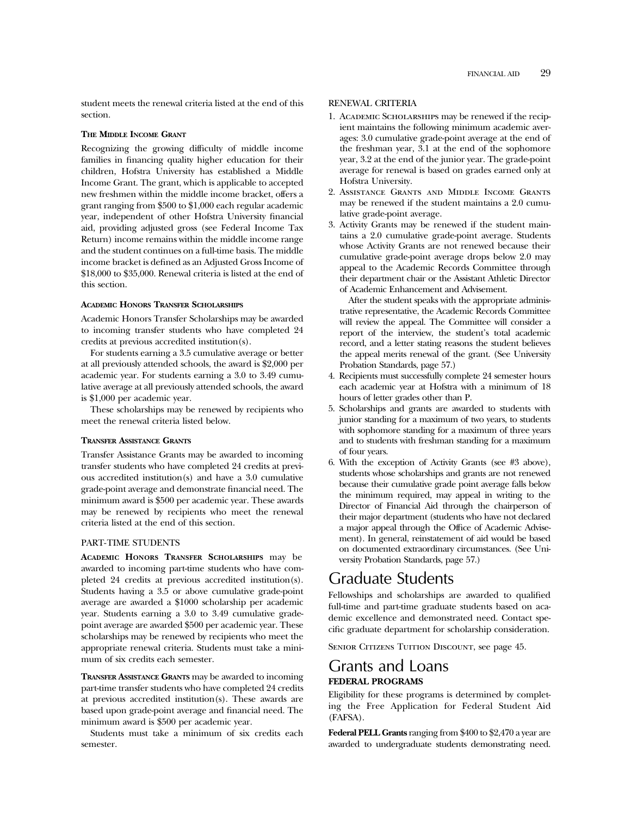student meets the renewal criteria listed at the end of this section.

#### **THE MIDDLE INCOME GRANT**

Recognizing the growing difficulty of middle income families in financing quality higher education for their children, Hofstra University has established a Middle Income Grant. The grant, which is applicable to accepted new freshmen within the middle income bracket, offers a grant ranging from \$500 to \$1,000 each regular academic year, independent of other Hofstra University financial aid, providing adjusted gross (see Federal Income Tax Return) income remains within the middle income range and the student continues on a full-time basis. The middle income bracket is defined as an Adjusted Gross Income of \$18,000 to \$35,000. Renewal criteria is listed at the end of this section.

#### **ACADEMIC HONORS TRANSFER SCHOLARSHIPS**

Academic Honors Transfer Scholarships may be awarded to incoming transfer students who have completed 24 credits at previous accredited institution(s).

For students earning a 3.5 cumulative average or better at all previously attended schools, the award is \$2,000 per academic year. For students earning a 3.0 to 3.49 cumulative average at all previously attended schools, the award is \$1,000 per academic year.

These scholarships may be renewed by recipients who meet the renewal criteria listed below.

#### **TRANSFER ASSISTANCE GRANTS**

Transfer Assistance Grants may be awarded to incoming transfer students who have completed 24 credits at previous accredited institution(s) and have a 3.0 cumulative grade-point average and demonstrate financial need. The minimum award is \$500 per academic year. These awards may be renewed by recipients who meet the renewal criteria listed at the end of this section.

#### PART-TIME STUDENTS

**ACADEMIC HONORS TRANSFER SCHOLARSHIPS** may be awarded to incoming part-time students who have completed 24 credits at previous accredited institution(s). Students having a 3.5 or above cumulative grade-point average are awarded a \$1000 scholarship per academic year. Students earning a 3.0 to 3.49 cumulative gradepoint average are awarded \$500 per academic year. These scholarships may be renewed by recipients who meet the appropriate renewal criteria. Students must take a minimum of six credits each semester.

**TRANSFER ASSISTANCE GRANTS** may be awarded to incoming part-time transfer students who have completed 24 credits at previous accredited institution(s). These awards are based upon grade-point average and financial need. The minimum award is \$500 per academic year.

Students must take a minimum of six credits each semester.

#### RENEWAL CRITERIA

- 1. Academic Scholarships may be renewed if the recipient maintains the following minimum academic averages: 3.0 cumulative grade-point average at the end of the freshman year, 3.1 at the end of the sophomore year, 3.2 at the end of the junior year. The grade-point average for renewal is based on grades earned only at Hofstra University.
- 2. Assistance Grants and Middle Income Grants may be renewed if the student maintains a 2.0 cumulative grade-point average.
- 3. Activity Grants may be renewed if the student maintains a 2.0 cumulative grade-point average. Students whose Activity Grants are not renewed because their cumulative grade-point average drops below 2.0 may appeal to the Academic Records Committee through their department chair or the Assistant Athletic Director of Academic Enhancement and Advisement.

After the student speaks with the appropriate administrative representative, the Academic Records Committee will review the appeal. The Committee will consider a report of the interview, the student's total academic record, and a letter stating reasons the student believes the appeal merits renewal of the grant. (See University Probation Standards, page 57.)

- 4. Recipients must successfully complete 24 semester hours each academic year at Hofstra with a minimum of 18 hours of letter grades other than P.
- 5. Scholarships and grants are awarded to students with junior standing for a maximum of two years, to students with sophomore standing for a maximum of three years and to students with freshman standing for a maximum of four years.
- 6. With the exception of Activity Grants (see #3 above), students whose scholarships and grants are not renewed because their cumulative grade point average falls below the minimum required, may appeal in writing to the Director of Financial Aid through the chairperson of their major department (students who have not declared a major appeal through the Office of Academic Advisement). In general, reinstatement of aid would be based on documented extraordinary circumstances. (See University Probation Standards, page 57.)

### Graduate Students

Fellowships and scholarships are awarded to qualified full-time and part-time graduate students based on academic excellence and demonstrated need. Contact specific graduate department for scholarship consideration.

SENIOR CITIZENS TUITION DISCOUNT, see page 45.

### Grants and Loans **FEDERAL PROGRAMS**

Eligibility for these programs is determined by completing the Free Application for Federal Student Aid (FAFSA).

**Federal PELL Grants** ranging from \$400 to \$2,470 a year are awarded to undergraduate students demonstrating need.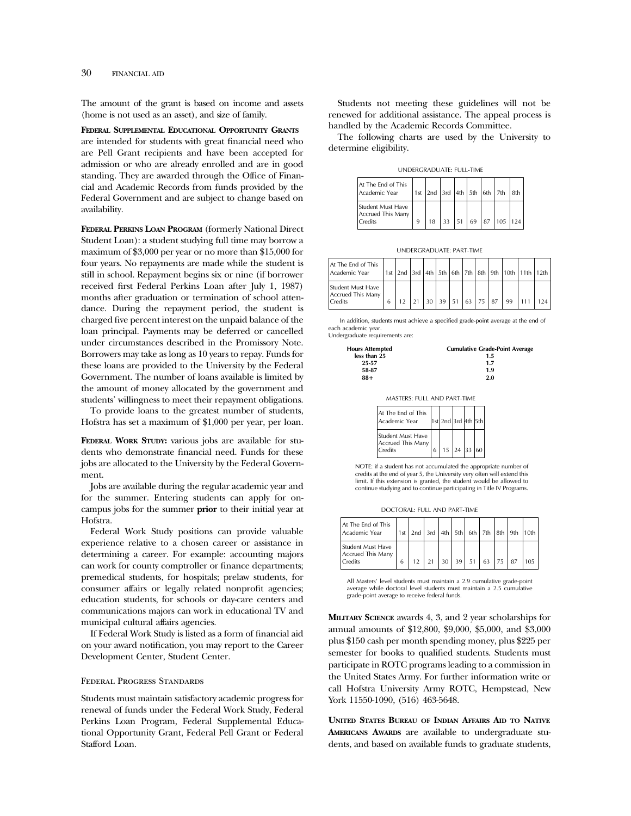The amount of the grant is based on income and assets (home is not used as an asset), and size of family.

**FEDERAL SUPPLEMENTAL EDUCATIONAL OPPORTUNITY GRANTS** are intended for students with great financial need who are Pell Grant recipients and have been accepted for admission or who are already enrolled and are in good standing. They are awarded through the Office of Financial and Academic Records from funds provided by the Federal Government and are subject to change based on availability.

**FEDERAL PERKINS LOAN PROGRAM** (formerly National Direct Student Loan): a student studying full time may borrow a maximum of \$3,000 per year or no more than \$15,000 for four years. No repayments are made while the student is still in school. Repayment begins six or nine (if borrower received first Federal Perkins Loan after July 1, 1987) months after graduation or termination of school attendance. During the repayment period, the student is charged five percent interest on the unpaid balance of the loan principal. Payments may be deferred or cancelled under circumstances described in the Promissory Note. Borrowers may take as long as 10 years to repay. Funds for these loans are provided to the University by the Federal Government. The number of loans available is limited by the amount of money allocated by the government and students' willingness to meet their repayment obligations.

To provide loans to the greatest number of students, Hofstra has set a maximum of \$1,000 per year, per loan.

**FEDERAL WORK STUDY:** various jobs are available for students who demonstrate financial need. Funds for these jobs are allocated to the University by the Federal Government.

Jobs are available during the regular academic year and for the summer. Entering students can apply for oncampus jobs for the summer **prior** to their initial year at Hofstra.

Federal Work Study positions can provide valuable experience relative to a chosen career or assistance in determining a career. For example: accounting majors can work for county comptroller or finance departments; premedical students, for hospitals; prelaw students, for consumer affairs or legally related nonprofit agencies; education students, for schools or day-care centers and communications majors can work in educational TV and municipal cultural affairs agencies.

If Federal Work Study is listed as a form of financial aid on your award notification, you may report to the Career Development Center, Student Center.

#### Federal Progress Standards

Students must maintain satisfactory academic progress for renewal of funds under the Federal Work Study, Federal Perkins Loan Program, Federal Supplemental Educational Opportunity Grant, Federal Pell Grant or Federal Stafford Loan.

Students not meeting these guidelines will not be renewed for additional assistance. The appeal process is handled by the Academic Records Committee.

The following charts are used by the University to determine eligibility.

UNDERGRADUATE: FULL-TIME

| At The End of This<br>Academic Year                      |  |  |  | $\vert$ 1st $\vert$ 2nd $\vert$ 3rd $\vert$ 4th $\vert$ 5th $\vert$ 6th $\vert$ 7th $\vert$ 8th |  |
|----------------------------------------------------------|--|--|--|-------------------------------------------------------------------------------------------------|--|
| Student Must Have<br>Accrued This Many<br><b>Credits</b> |  |  |  | $18$ 33 51 69 87 105 124                                                                        |  |

UNDERGRADUATE: PART-TIME

| At The End of This<br>Academic Year                      |   |  |                                                      |  |  |    | 1st 2nd 3rd 4th 5th 6th 7th 8th 9th 10th 11th 12th |     |
|----------------------------------------------------------|---|--|------------------------------------------------------|--|--|----|----------------------------------------------------|-----|
| Student Must Have<br>Accrued This Many<br><b>Credits</b> | 6 |  | $21 \mid 30 \mid 39 \mid 51 \mid 63 \mid 75 \mid 87$ |  |  | 99 |                                                    | 124 |

In addition, students must achieve a specified grade-point average at the end of each academic year.

Undergraduate requirements are:



| Cumulative Grade-Point Averag |
|-------------------------------|
| 1.5                           |
| 1.7                           |
| 1.9                           |
| 2.0                           |

MASTERS: FULL AND PART-TIME

| At The End of This<br>Academic Year               |   | 1st 2nd 3rd 4th 5th          |  |  |
|---------------------------------------------------|---|------------------------------|--|--|
| Student Must Have<br>Accrued This Many<br>Credits | 6 | $15 \mid 24 \mid 33 \mid 60$ |  |  |

NOTE: if a student has not accumulated the appropriate number of credits at the end of year 5, the University very often will extend this limit. If this extension is granted, the student would be allowed to continue studying and to continue participating in Title IV Programs.

DOCTORAL: FULL AND PART-TIME

| At The End of This<br>Academic Year                      |   |  |  | 1st 2nd 3rd 4th 5th 6th 7th 8th 9th 10th |     |     |
|----------------------------------------------------------|---|--|--|------------------------------------------|-----|-----|
| Student Must Have<br>Accrued This Many<br><b>Credits</b> | 6 |  |  | $30 \mid 39 \mid 51 \mid 63 \mid 75$     | 187 | 105 |

All Masters' level students must maintain a 2.9 cumulative grade-point average while doctoral level students must maintain a 2.5 cumulative grade-point average to receive federal funds.

**MILITARY SCIENCE** awards 4, 3, and 2 year scholarships for annual amounts of \$12,800, \$9,000, \$5,000, and \$3,000 plus \$150 cash per month spending money, plus \$225 per semester for books to qualified students. Students must participate in ROTC programs leading to a commission in the United States Army. For further information write or call Hofstra University Army ROTC, Hempstead, New York 11550-1090, (516) 463-5648.

**UNITED STATES BUREAU OF INDIAN AFFAIRS AID TO NATIVE AMERICANS AWARDS** are available to undergraduate students, and based on available funds to graduate students,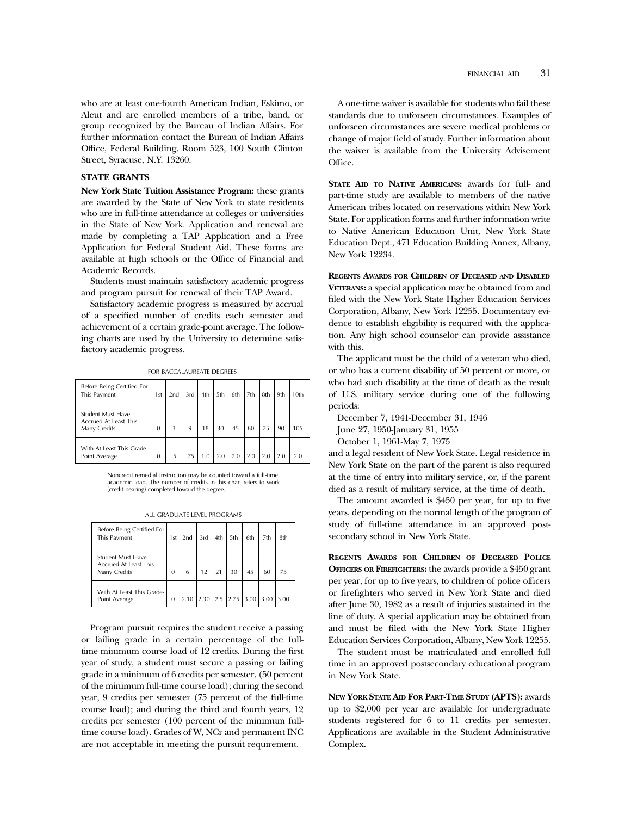who are at least one-fourth American Indian, Eskimo, or Aleut and are enrolled members of a tribe, band, or group recognized by the Bureau of Indian Affairs. For further information contact the Bureau of Indian Affairs Office, Federal Building, Room 523, 100 South Clinton Street, Syracuse, N.Y. 13260.

#### **STATE GRANTS**

**New York State Tuition Assistance Program:** these grants are awarded by the State of New York to state residents who are in full-time attendance at colleges or universities in the State of New York. Application and renewal are made by completing a TAP Application and a Free Application for Federal Student Aid. These forms are available at high schools or the Office of Financial and Academic Records.

Students must maintain satisfactory academic progress and program pursuit for renewal of their TAP Award.

Satisfactory academic progress is measured by accrual of a specified number of credits each semester and achievement of a certain grade-point average. The following charts are used by the University to determine satisfactory academic progress.

FOR BACCALAUREATE DEGREES

| Before Being Certified For<br>This Payment                        | 1st          | 2nd | 3rd | 4th | 5th | 6th | 7th | 8th | 9th | 10th |
|-------------------------------------------------------------------|--------------|-----|-----|-----|-----|-----|-----|-----|-----|------|
| <b>Student Must Have</b><br>Accrued At Least This<br>Many Credits | 0            | 3   | 9   | 18  | 30  | 45  | 60  | 75  | 90  | 105  |
| With At Least This Grade-<br>Point Average                        | $\mathbf{0}$ | .5  | .75 | 1.0 | 2.0 | 2.0 | 2.0 |     | 2.0 | 20   |

Noncredit remedial instruction may be counted toward a full-time academic load. The number of credits in this chart refers to work (credit-bearing) completed toward the degree.

|  |  | all graduate level programs |  |  |  |  |
|--|--|-----------------------------|--|--|--|--|
|--|--|-----------------------------|--|--|--|--|

| Before Being Certified For<br>This Payment                 | 1st | 2nd  | 3rd        | 4th | 5th              | 6th | 7th | 8th |
|------------------------------------------------------------|-----|------|------------|-----|------------------|-----|-----|-----|
| Student Must Have<br>Accrued At Least This<br>Many Credits | 0   | 6    |            |     | 30               | 45  | 60  |     |
| With At Least This Grade-<br>Point Average                 | 0   | 2.10 | $2.30$ 2.5 |     | $2.75$ 3.00 3.00 |     |     |     |

Program pursuit requires the student receive a passing or failing grade in a certain percentage of the fulltime minimum course load of 12 credits. During the first year of study, a student must secure a passing or failing grade in a minimum of 6 credits per semester, (50 percent of the minimum full-time course load); during the second year, 9 credits per semester (75 percent of the full-time course load); and during the third and fourth years, 12 credits per semester (100 percent of the minimum fulltime course load). Grades of W, NCr and permanent INC are not acceptable in meeting the pursuit requirement.

A one-time waiver is available for students who fail these standards due to unforseen circumstances. Examples of unforseen circumstances are severe medical problems or change of major field of study. Further information about the waiver is available from the University Advisement Office.

**STATE AID TO NATIVE AMERICANS:** awards for full- and part-time study are available to members of the native American tribes located on reservations within New York State. For application forms and further information write to Native American Education Unit, New York State Education Dept., 471 Education Building Annex, Albany, New York 12234.

**REGENTS AWARDS FOR CHILDREN OF DECEASED AND DISABLED VETERANS:** a special application may be obtained from and filed with the New York State Higher Education Services Corporation, Albany, New York 12255. Documentary evidence to establish eligibility is required with the application. Any high school counselor can provide assistance with this.

The applicant must be the child of a veteran who died, or who has a current disability of 50 percent or more, or who had such disability at the time of death as the result of U.S. military service during one of the following periods:

December 7, 1941-December 31, 1946

June 27, 1950-January 31, 1955

October 1, 1961-May 7, 1975

and a legal resident of New York State. Legal residence in New York State on the part of the parent is also required at the time of entry into military service, or, if the parent died as a result of military service, at the time of death.

The amount awarded is \$450 per year, for up to five years, depending on the normal length of the program of study of full-time attendance in an approved postsecondary school in New York State.

**REGENTS AWARDS FOR CHILDREN OF DECEASED POLICE OFFICERS OR FIREFIGHTERS:** the awards provide a \$450 grant per year, for up to five years, to children of police officers or firefighters who served in New York State and died after June 30, 1982 as a result of injuries sustained in the line of duty. A special application may be obtained from and must be filed with the New York State Higher Education Services Corporation, Albany, New York 12255.

The student must be matriculated and enrolled full time in an approved postsecondary educational program in New York State.

**NEW YORK STATE AID FOR PART-TIME STUDY (APTS):** awards up to \$2,000 per year are available for undergraduate students registered for 6 to 11 credits per semester. Applications are available in the Student Administrative Complex.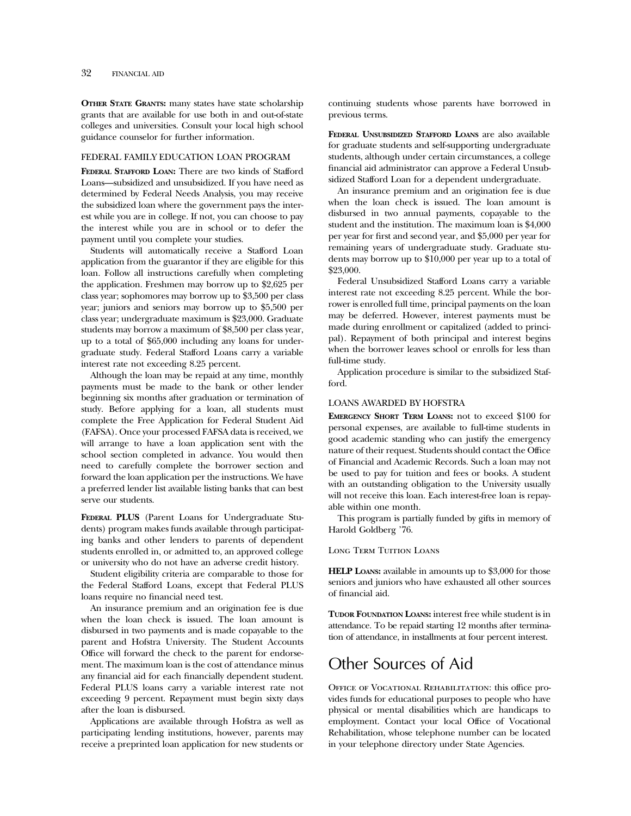**OTHER STATE GRANTS:** many states have state scholarship grants that are available for use both in and out-of-state colleges and universities. Consult your local high school guidance counselor for further information.

#### FEDERAL FAMILY EDUCATION LOAN PROGRAM

**FEDERAL STAFFORD LOAN:** There are two kinds of Stafford Loans—subsidized and unsubsidized. If you have need as determined by Federal Needs Analysis, you may receive the subsidized loan where the government pays the interest while you are in college. If not, you can choose to pay the interest while you are in school or to defer the payment until you complete your studies.

Students will automatically receive a Stafford Loan application from the guarantor if they are eligible for this loan. Follow all instructions carefully when completing the application. Freshmen may borrow up to \$2,625 per class year; sophomores may borrow up to \$3,500 per class year; juniors and seniors may borrow up to \$5,500 per class year; undergraduate maximum is \$23,000. Graduate students may borrow a maximum of \$8,500 per class year, up to a total of \$65,000 including any loans for undergraduate study. Federal Stafford Loans carry a variable interest rate not exceeding 8.25 percent.

Although the loan may be repaid at any time, monthly payments must be made to the bank or other lender beginning six months after graduation or termination of study. Before applying for a loan, all students must complete the Free Application for Federal Student Aid (FAFSA). Once your processed FAFSA data is received, we will arrange to have a loan application sent with the school section completed in advance. You would then need to carefully complete the borrower section and forward the loan application per the instructions. We have a preferred lender list available listing banks that can best serve our students.

**FEDERAL PLUS** (Parent Loans for Undergraduate Students) program makes funds available through participating banks and other lenders to parents of dependent students enrolled in, or admitted to, an approved college or university who do not have an adverse credit history.

Student eligibility criteria are comparable to those for the Federal Stafford Loans, except that Federal PLUS loans require no financial need test.

An insurance premium and an origination fee is due when the loan check is issued. The loan amount is disbursed in two payments and is made copayable to the parent and Hofstra University. The Student Accounts Office will forward the check to the parent for endorsement. The maximum loan is the cost of attendance minus any financial aid for each financially dependent student. Federal PLUS loans carry a variable interest rate not exceeding 9 percent. Repayment must begin sixty days after the loan is disbursed.

Applications are available through Hofstra as well as participating lending institutions, however, parents may receive a preprinted loan application for new students or

continuing students whose parents have borrowed in previous terms.

**FEDERAL UNSUBSIDIZED STAFFORD LOANS** are also available for graduate students and self-supporting undergraduate students, although under certain circumstances, a college financial aid administrator can approve a Federal Unsubsidized Stafford Loan for a dependent undergraduate.

An insurance premium and an origination fee is due when the loan check is issued. The loan amount is disbursed in two annual payments, copayable to the student and the institution. The maximum loan is \$4,000 per year for first and second year, and \$5,000 per year for remaining years of undergraduate study. Graduate students may borrow up to \$10,000 per year up to a total of \$23,000.

Federal Unsubsidized Stafford Loans carry a variable interest rate not exceeding 8.25 percent. While the borrower is enrolled full time, principal payments on the loan may be deferred. However, interest payments must be made during enrollment or capitalized (added to principal). Repayment of both principal and interest begins when the borrower leaves school or enrolls for less than full-time study.

Application procedure is similar to the subsidized Stafford.

#### LOANS AWARDED BY HOFSTRA

**EMERGENCY SHORT TERM LOANS:** not to exceed \$100 for personal expenses, are available to full-time students in good academic standing who can justify the emergency nature of their request. Students should contact the Office of Financial and Academic Records. Such a loan may not be used to pay for tuition and fees or books. A student with an outstanding obligation to the University usually will not receive this loan. Each interest-free loan is repayable within one month.

This program is partially funded by gifts in memory of Harold Goldberg '76.

Long Term Tuition Loans

**HELP LOANS:** available in amounts up to \$3,000 for those seniors and juniors who have exhausted all other sources of financial aid.

**TUDOR FOUNDATION LOANS:** interest free while student is in attendance. To be repaid starting 12 months after termination of attendance, in installments at four percent interest.

# Other Sources of Aid

OFFICE OF VOCATIONAL REHABILITATION: this office provides funds for educational purposes to people who have physical or mental disabilities which are handicaps to employment. Contact your local Office of Vocational Rehabilitation, whose telephone number can be located in your telephone directory under State Agencies.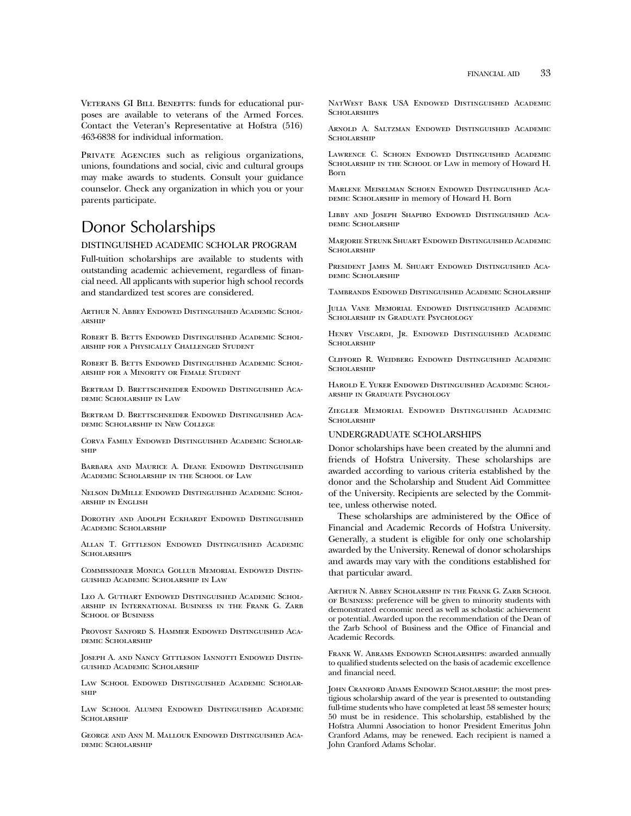VETERANS GI BILL BENEFITS: funds for educational purposes are available to veterans of the Armed Forces. Contact the Veteran's Representative at Hofstra (516) 463-6838 for individual information.

PRIVATE AGENCIES such as religious organizations, unions, foundations and social, civic and cultural groups may make awards to students. Consult your guidance counselor. Check any organization in which you or your parents participate.

# Donor Scholarships

#### DISTINGUISHED ACADEMIC SCHOLAR PROGRAM

Full-tuition scholarships are available to students with outstanding academic achievement, regardless of financial need. All applicants with superior high school records and standardized test scores are considered.

Arthur N. Abbey Endowed Distinguished Academic Scholarship

ROBERT B. BETTS ENDOWED DISTINGUISHED ACADEMIC SCHOLarship for a Physically Challenged Student

Robert B. Betts Endowed Distinguished Academic Scholarship for a Minority or Female Student

Bertram D. Brettschneider Endowed Distinguished Academic Scholarship in Law

Bertram D. Brettschneider Endowed Distinguished Academic Scholarship in New College

Corva Family Endowed Distinguished Academic Scholarship

Barbara and Maurice A. Deane Endowed Distinguished Academic Scholarship in the School of Law

Nelson DeMille Endowed Distinguished Academic Scholarship in English

Dorothy and Adolph Eckhardt Endowed Distinguished Academic Scholarship

Allan T. Gittleson Endowed Distinguished Academic SCHOLARSHIPS

Commissioner Monica Gollub Memorial Endowed Distinguished Academic Scholarship in Law

Leo A. Guthart Endowed Distinguished Academic Scholarship in International Business in the Frank G. Zarb SCHOOL OF BUSINESS

Provost Sanford S. Hammer Endowed Distinguished Academic Scholarship

JOSEPH A. AND NANCY GITTLESON IANNOTTI ENDOWED DISTINguished Academic Scholarship

Law School Endowed Distinguished Academic Scholarship

Law School Alumni Endowed Distinguished Academic SCHOLARSHIP

George and Ann M. Mallouk Endowed Distinguished Academic Scholarship

NatWest Bank USA Endowed Distinguished Academic SCHOLARSHIPS

Arnold A. Saltzman Endowed Distinguished Academic **SCHOLARSHIP** 

Lawrence C. Schoen Endowed Distinguished Academic Scholarship in the School of Law in memory of Howard H. Born

Marlene Meiselman Schoen Endowed Distinguished Aca-DEMIC SCHOLARSHIP in memory of Howard H. Born

Libby and Joseph Shapiro Endowed Distinguished Academic Scholarship

Marjorie Strunk Shuart Endowed Distinguished Academic **SCHOLARSHIP** 

President James M. Shuart Endowed Distinguished Academic Scholarship

Tambrands Endowed Distinguished Academic Scholarship

Julia Vane Memorial Endowed Distinguished Academic Scholarship in Graduate Psychology

HENRY VISCARDI, JR. ENDOWED DISTINGUISHED ACADEMIC **SCHOLARSHIP** 

Clifford R. Weidberg Endowed Distinguished Academic **SCHOLARSHIP** 

Harold E. Yuker Endowed Distinguished Academic Scholarship in Graduate Psychology

Ziegler Memorial Endowed Distinguished Academic SCHOLARSHIP

#### UNDERGRADUATE SCHOLARSHIPS

Donor scholarships have been created by the alumni and friends of Hofstra University. These scholarships are awarded according to various criteria established by the donor and the Scholarship and Student Aid Committee of the University. Recipients are selected by the Committee, unless otherwise noted.

These scholarships are administered by the Office of Financial and Academic Records of Hofstra University. Generally, a student is eligible for only one scholarship awarded by the University. Renewal of donor scholarships and awards may vary with the conditions established for that particular award.

ARTHUR N. ABBEY SCHOLARSHIP IN THE FRANK G. ZARB SCHOOL of Business: preference will be given to minority students with demonstrated economic need as well as scholastic achievement or potential. Awarded upon the recommendation of the Dean of the Zarb School of Business and the Office of Financial and Academic Records.

Frank W. Abrams Endowed Scholarships: awarded annually to qualified students selected on the basis of academic excellence and financial need.

JOHN CRANFORD ADAMS ENDOWED SCHOLARSHIP: the most prestigious scholarship award of the year is presented to outstanding full-time students who have completed at least 58 semester hours; 50 must be in residence. This scholarship, established by the Hofstra Alumni Association to honor President Emeritus John Cranford Adams, may be renewed. Each recipient is named a John Cranford Adams Scholar.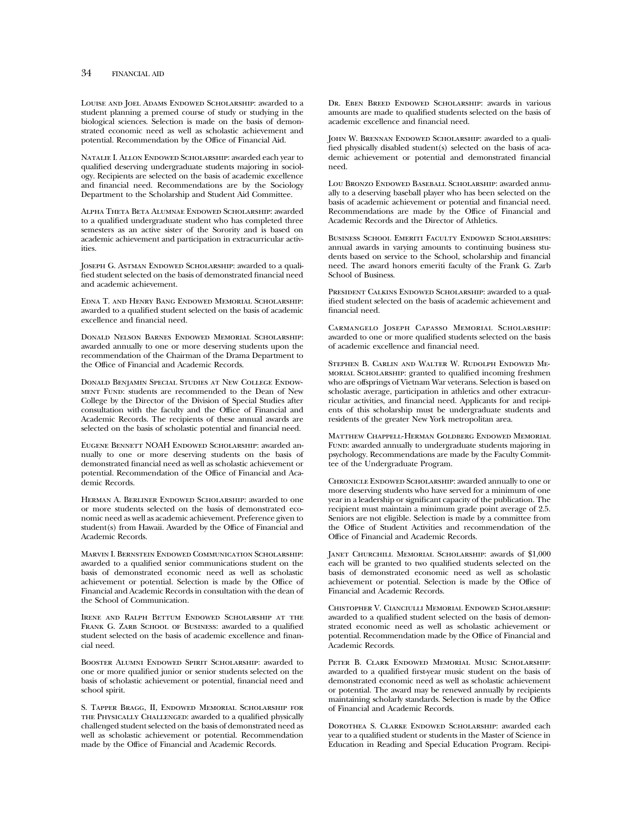Louise and Joel Adams Endowed Scholarship: awarded to a student planning a premed course of study or studying in the biological sciences. Selection is made on the basis of demonstrated economic need as well as scholastic achievement and potential. Recommendation by the Office of Financial Aid.

Natalie I. Allon Endowed Scholarship: awarded each year to qualified deserving undergraduate students majoring in sociology. Recipients are selected on the basis of academic excellence and financial need. Recommendations are by the Sociology Department to the Scholarship and Student Aid Committee.

Alpha Theta Beta Alumnae Endowed Scholarship: awarded to a qualified undergraduate student who has completed three semesters as an active sister of the Sorority and is based on academic achievement and participation in extracurricular activities.

JOSEPH G. ASTMAN ENDOWED SCHOLARSHIP: awarded to a qualified student selected on the basis of demonstrated financial need and academic achievement.

Edna T. and Henry Bang Endowed Memorial Scholarship: awarded to a qualified student selected on the basis of academic excellence and financial need.

Donald Nelson Barnes Endowed Memorial Scholarship: awarded annually to one or more deserving students upon the recommendation of the Chairman of the Drama Department to the Office of Financial and Academic Records.

Donald Benjamin Special Studies at New College Endow-MENT FUND: students are recommended to the Dean of New College by the Director of the Division of Special Studies after consultation with the faculty and the Office of Financial and Academic Records. The recipients of these annual awards are selected on the basis of scholastic potential and financial need.

Eugene Bennett NOAH Endowed Scholarship: awarded annually to one or more deserving students on the basis of demonstrated financial need as well as scholastic achievement or potential. Recommendation of the Office of Financial and Academic Records.

Herman A. Berliner Endowed Scholarship: awarded to one or more students selected on the basis of demonstrated economic need as well as academic achievement. Preference given to student(s) from Hawaii. Awarded by the Office of Financial and Academic Records.

Marvin I. Bernstein Endowed Communication Scholarship: awarded to a qualified senior communications student on the basis of demonstrated economic need as well as scholastic achievement or potential. Selection is made by the Office of Financial and Academic Records in consultation with the dean of the School of Communication.

Irene and Ralph Bettum Endowed Scholarship at the FRANK G. ZARB SCHOOL OF BUSINESS: awarded to a qualified student selected on the basis of academic excellence and financial need.

Booster Alumni Endowed Spirit Scholarship: awarded to one or more qualified junior or senior students selected on the basis of scholastic achievement or potential, financial need and school spirit.

S. Tapper Bragg, II, Endowed Memorial Scholarship for the Physically Challenged: awarded to a qualified physically challenged student selected on the basis of demonstrated need as well as scholastic achievement or potential. Recommendation made by the Office of Financial and Academic Records.

Dr. Eben Breed Endowed Scholarship: awards in various amounts are made to qualified students selected on the basis of academic excellence and financial need.

JOHN W. BRENNAN ENDOWED SCHOLARSHIP: awarded to a qualified physically disabled student(s) selected on the basis of academic achievement or potential and demonstrated financial need.

Lou Bronzo Endowed Baseball Scholarship: awarded annually to a deserving baseball player who has been selected on the basis of academic achievement or potential and financial need. Recommendations are made by the Office of Financial and Academic Records and the Director of Athletics.

Business School Emeriti Faculty Endowed Scholarships: annual awards in varying amounts to continuing business students based on service to the School, scholarship and financial need. The award honors emeriti faculty of the Frank G. Zarb School of Business.

PRESIDENT CALKINS ENDOWED SCHOLARSHIP: awarded to a qualified student selected on the basis of academic achievement and financial need.

Carmangelo Joseph Capasso Memorial Scholarship: awarded to one or more qualified students selected on the basis of academic excellence and financial need.

Stephen B. Carlin and Walter W. Rudolph Endowed Memorial Scholarship: granted to qualified incoming freshmen who are offsprings of Vietnam War veterans. Selection is based on scholastic average, participation in athletics and other extracurricular activities, and financial need. Applicants for and recipients of this scholarship must be undergraduate students and residents of the greater New York metropolitan area.

Matthew Chappell-Herman Goldberg Endowed Memorial FUND: awarded annually to undergraduate students majoring in psychology. Recommendations are made by the Faculty Committee of the Undergraduate Program.

Chronicle Endowed Scholarship: awarded annually to one or more deserving students who have served for a minimum of one year in a leadership or significant capacity of the publication. The recipient must maintain a minimum grade point average of 2.5. Seniors are not eligible. Selection is made by a committee from the Office of Student Activities and recommendation of the Office of Financial and Academic Records.

Janet Churchill Memorial Scholarship: awards of \$1,000 each will be granted to two qualified students selected on the basis of demonstrated economic need as well as scholastic achievement or potential. Selection is made by the Office of Financial and Academic Records.

Chistopher V. Cianciulli Memorial Endowed Scholarship: awarded to a qualified student selected on the basis of demonstrated economic need as well as scholastic achievement or potential. Recommendation made by the Office of Financial and Academic Records.

Peter B. Clark Endowed Memorial Music Scholarship: awarded to a qualified first-year music student on the basis of demonstrated economic need as well as scholastic achievement or potential. The award may be renewed annually by recipients maintaining scholarly standards. Selection is made by the Office of Financial and Academic Records.

Dorothea S. Clarke Endowed Scholarship: awarded each year to a qualified student or students in the Master of Science in Education in Reading and Special Education Program. Recipi-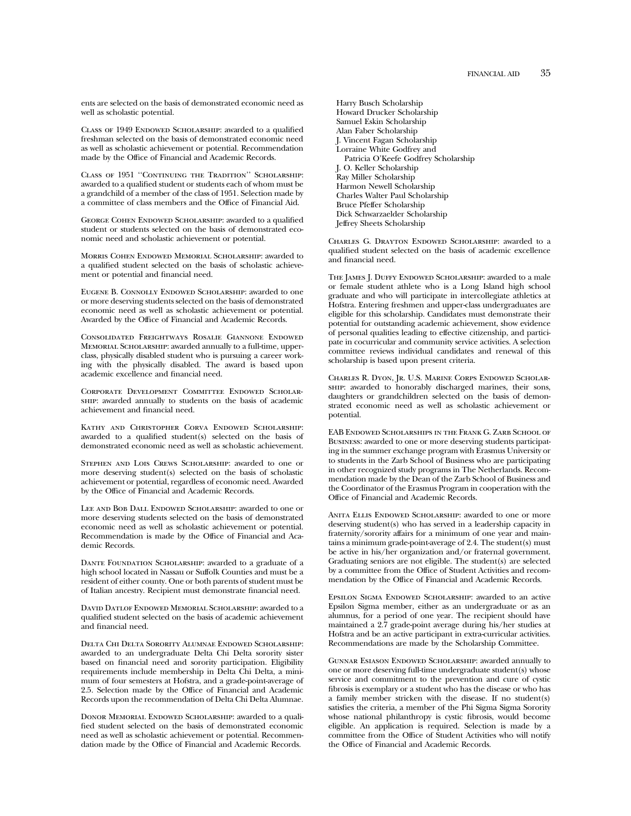ents are selected on the basis of demonstrated economic need as well as scholastic potential.

CLASS OF 1949 ENDOWED SCHOLARSHIP: awarded to a qualified freshman selected on the basis of demonstrated economic need as well as scholastic achievement or potential. Recommendation made by the Office of Financial and Academic Records.

Class of 1951 ''Continuing the Tradition'' Scholarship: awarded to a qualified student or students each of whom must be a grandchild of a member of the class of 1951. Selection made by a committee of class members and the Office of Financial Aid.

GEORGE COHEN ENDOWED SCHOLARSHIP: awarded to a qualified student or students selected on the basis of demonstrated economic need and scholastic achievement or potential.

Morris Cohen Endowed Memorial Scholarship: awarded to a qualified student selected on the basis of scholastic achievement or potential and financial need.

Eugene B. Connolly Endowed Scholarship: awarded to one or more deserving students selected on the basis of demonstrated economic need as well as scholastic achievement or potential. Awarded by the Office of Financial and Academic Records.

Consolidated Freightways Rosalie Giannone Endowed Memorial Scholarship: awarded annually to a full-time, upperclass, physically disabled student who is pursuing a career working with the physically disabled. The award is based upon academic excellence and financial need.

Corporate Development Committee Endowed Scholarship: awarded annually to students on the basis of academic achievement and financial need.

Kathy and Christopher Corva Endowed Scholarship: awarded to a qualified student(s) selected on the basis of demonstrated economic need as well as scholastic achievement.

Stephen and Lois Crews Scholarship: awarded to one or more deserving student(s) selected on the basis of scholastic achievement or potential, regardless of economic need. Awarded by the Office of Financial and Academic Records.

Lee and Bob Dall Endowed Scholarship: awarded to one or more deserving students selected on the basis of demonstrated economic need as well as scholastic achievement or potential. Recommendation is made by the Office of Financial and Academic Records.

DANTE FOUNDATION SCHOLARSHIP: awarded to a graduate of a high school located in Nassau or Suffolk Counties and must be a resident of either county. One or both parents of student must be of Italian ancestry. Recipient must demonstrate financial need.

David Datlof Endowed Memorial Scholarship: awarded to a qualified student selected on the basis of academic achievement and financial need.

Delta Chi Delta Sorority Alumnae Endowed Scholarship: awarded to an undergraduate Delta Chi Delta sorority sister based on financial need and sorority participation. Eligibility requirements include membership in Delta Chi Delta, a minimum of four semesters at Hofstra, and a grade-point-average of 2.5. Selection made by the Office of Financial and Academic Records upon the recommendation of Delta Chi Delta Alumnae.

DONOR MEMORIAL ENDOWED SCHOLARSHIP: awarded to a qualified student selected on the basis of demonstrated economic need as well as scholastic achievement or potential. Recommendation made by the Office of Financial and Academic Records.

Harry Busch Scholarship Howard Drucker Scholarship Samuel Eskin Scholarship Alan Faber Scholarship J. Vincent Fagan Scholarship Lorraine White Godfrey and Patricia O'Keefe Godfrey Scholarship J. O. Keller Scholarship Ray Miller Scholarship Harmon Newell Scholarship Charles Walter Paul Scholarship Bruce Pfeffer Scholarship Dick Schwarzaelder Scholarship Jeffrey Sheets Scholarship

Charles G. Drayton Endowed Scholarship: awarded to a qualified student selected on the basis of academic excellence and financial need.

The James J. Duffy Endowed Scholarship: awarded to a male or female student athlete who is a Long Island high school graduate and who will participate in intercollegiate athletics at Hofstra. Entering freshmen and upper-class undergraduates are eligible for this scholarship. Candidates must demonstrate their potential for outstanding academic achievement, show evidence of personal qualities leading to effective citizenship, and participate in cocurricular and community service activities. A selection committee reviews individual candidates and renewal of this scholarship is based upon present criteria.

Charles R. Dyon, Jr. U.S. Marine Corps Endowed Scholarship: awarded to honorably discharged marines, their sons, daughters or grandchildren selected on the basis of demonstrated economic need as well as scholastic achievement or potential.

EAB Endowed Scholarships in the Frank G. Zarb School of Business: awarded to one or more deserving students participating in the summer exchange program with Erasmus University or to students in the Zarb School of Business who are participating in other recognized study programs in The Netherlands. Recommendation made by the Dean of the Zarb School of Business and the Coordinator of the Erasmus Program in cooperation with the Office of Financial and Academic Records.

ANITA ELLIS ENDOWED SCHOLARSHIP: awarded to one or more deserving student(s) who has served in a leadership capacity in fraternity/sorority affairs for a minimum of one year and maintains a minimum grade-point-average of 2.4. The student(s) must be active in his/her organization and/or fraternal government. Graduating seniors are not eligible. The student(s) are selected by a committee from the Office of Student Activities and recommendation by the Office of Financial and Academic Records.

Epsilon Sigma Endowed Scholarship: awarded to an active Epsilon Sigma member, either as an undergraduate or as an alumnus, for a period of one year. The recipient should have maintained a 2.7 grade-point average during his/her studies at Hofstra and be an active participant in extra-curricular activities. Recommendations are made by the Scholarship Committee.

Gunnar Esiason Endowed Scholarship: awarded annually to one or more deserving full-time undergraduate student(s) whose service and commitment to the prevention and cure of cystic fibrosis is exemplary or a student who has the disease or who has a family member stricken with the disease. If no student(s) satisfies the criteria, a member of the Phi Sigma Sigma Sorority whose national philanthropy is cystic fibrosis, would become eligible. An application is required. Selection is made by a committee from the Office of Student Activities who will notify the Office of Financial and Academic Records.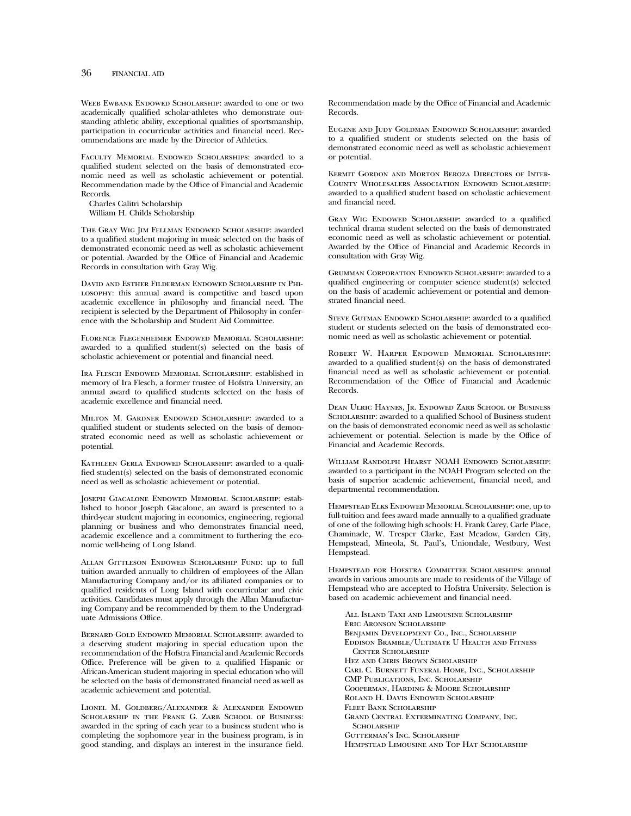WEEB EWBANK ENDOWED SCHOLARSHIP: awarded to one or two academically qualified scholar-athletes who demonstrate outstanding athletic ability, exceptional qualities of sportsmanship, participation in cocurricular activities and financial need. Recommendations are made by the Director of Athletics.

Faculty Memorial Endowed Scholarships: awarded to a qualified student selected on the basis of demonstrated economic need as well as scholastic achievement or potential. Recommendation made by the Office of Financial and Academic Records.

Charles Calitri Scholarship William H. Childs Scholarship

The Gray Wig Jim Fellman Endowed Scholarship: awarded to a qualified student majoring in music selected on the basis of demonstrated economic need as well as scholastic achievement or potential. Awarded by the Office of Financial and Academic Records in consultation with Gray Wig.

David and Esther Filderman Endowed Scholarship in Philosophy: this annual award is competitive and based upon academic excellence in philosophy and financial need. The recipient is selected by the Department of Philosophy in conference with the Scholarship and Student Aid Committee.

Florence Flegenheimer Endowed Memorial Scholarship: awarded to a qualified student(s) selected on the basis of scholastic achievement or potential and financial need.

Ira Flesch Endowed Memorial Scholarship: established in memory of Ira Flesch, a former trustee of Hofstra University, an annual award to qualified students selected on the basis of academic excellence and financial need.

Milton M. Gardner Endowed Scholarship: awarded to a qualified student or students selected on the basis of demonstrated economic need as well as scholastic achievement or potential.

KATHLEEN GERLA ENDOWED SCHOLARSHIP: awarded to a qualified student(s) selected on the basis of demonstrated economic need as well as scholastic achievement or potential.

Joseph Giacalone Endowed Memorial Scholarship: established to honor Joseph Giacalone, an award is presented to a third-year student majoring in economics, engineering, regional planning or business and who demonstrates financial need, academic excellence and a commitment to furthering the economic well-being of Long Island.

Allan Gittleson Endowed Scholarship Fund: up to full tuition awarded annually to children of employees of the Allan Manufacturing Company and/or its affiliated companies or to qualified residents of Long Island with cocurricular and civic activities. Candidates must apply through the Allan Manufacturing Company and be recommended by them to the Undergraduate Admissions Office.

Bernard Gold Endowed Memorial Scholarship: awarded to a deserving student majoring in special education upon the recommendation of the Hofstra Financial and Academic Records Office. Preference will be given to a qualified Hispanic or African-American student majoring in special education who will be selected on the basis of demonstrated financial need as well as academic achievement and potential.

Lionel M. Goldberg/Alexander & Alexander Endowed SCHOLARSHIP IN THE FRANK G. ZARB SCHOOL OF BUSINESS: awarded in the spring of each year to a business student who is completing the sophomore year in the business program, is in good standing, and displays an interest in the insurance field.

Recommendation made by the Office of Financial and Academic Records.

Eugene and Judy Goldman Endowed Scholarship: awarded to a qualified student or students selected on the basis of demonstrated economic need as well as scholastic achievement or potential.

Kermit Gordon and Morton Beroza Directors of Inter-County Wholesalers Association Endowed Scholarship: awarded to a qualified student based on scholastic achievement and financial need.

GRAY WIG ENDOWED SCHOLARSHIP: awarded to a qualified technical drama student selected on the basis of demonstrated economic need as well as scholastic achievement or potential. Awarded by the Office of Financial and Academic Records in consultation with Gray Wig.

Grumman Corporation Endowed Scholarship: awarded to a qualified engineering or computer science student(s) selected on the basis of academic achievement or potential and demonstrated financial need.

STEVE GUTMAN ENDOWED SCHOLARSHIP: awarded to a qualified student or students selected on the basis of demonstrated economic need as well as scholastic achievement or potential.

Robert W. Harper Endowed Memorial Scholarship: awarded to a qualified student(s) on the basis of demonstrated financial need as well as scholastic achievement or potential. Recommendation of the Office of Financial and Academic Records.

Dean Ulric Haynes, Jr. Endowed Zarb School of Business SCHOLARSHIP: awarded to a qualified School of Business student on the basis of demonstrated economic need as well as scholastic achievement or potential. Selection is made by the Office of Financial and Academic Records.

William Randolph Hearst NOAH Endowed Scholarship: awarded to a participant in the NOAH Program selected on the basis of superior academic achievement, financial need, and departmental recommendation.

Hempstead Elks Endowed Memorial Scholarship: one, up to full-tuition and fees award made annually to a qualified graduate of one of the following high schools: H. Frank Carey, Carle Place, Chaminade, W. Tresper Clarke, East Meadow, Garden City, Hempstead, Mineola, St. Paul's, Uniondale, Westbury, West Hempstead.

HEMPSTEAD FOR HOFSTRA COMMITTEE SCHOLARSHIPS: annual awards in various amounts are made to residents of the Village of Hempstead who are accepted to Hofstra University. Selection is based on academic achievement and financial need.

All Island Taxi and Limousine Scholarship Eric Aronson Scholarship Benjamin Development Co., Inc., Scholarship Eddison Bramble/Ultimate U Health and Fitness Center Scholarship Hez and Chris Brown Scholarship Carl C. Burnett Funeral Home, Inc., Scholarship CMP Publications, Inc. Scholarship Cooperman, Harding & Moore Scholarship Roland H. Davis Endowed Scholarship Fleet Bank Scholarship Grand Central Exterminating Company, Inc. **SCHOLARSHIP** Gutterman's Inc. Scholarship Hempstead Limousine and Top Hat Scholarship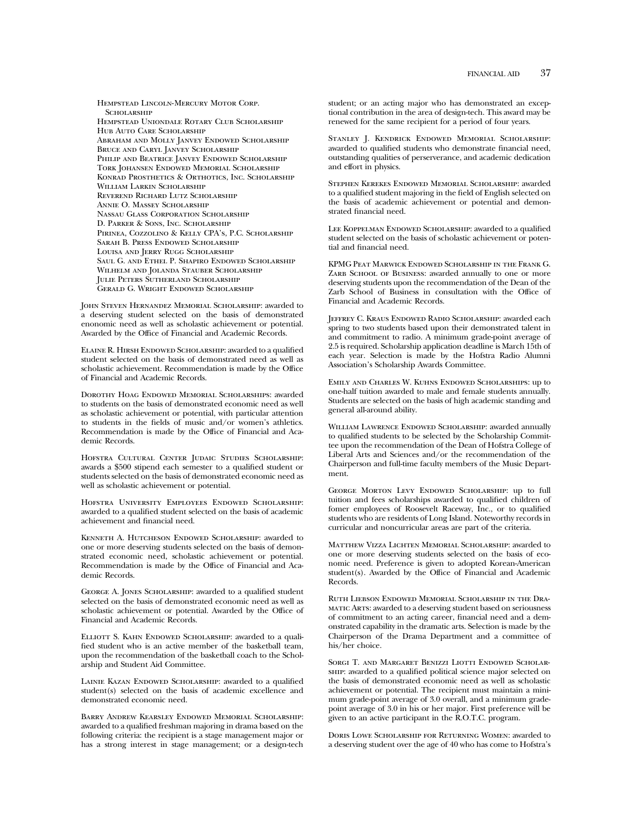Hempstead Lincoln-Mercury Motor Corp. **SCHOLARSHIP** Hempstead Uniondale Rotary Club Scholarship Hub Auto Care Scholarship Abraham and Molly Janvey Endowed Scholarship Bruce and Caryl Janvey Scholarship Philip and Beatrice Janvey Endowed Scholarship Tork Johansen Endowed Memorial Scholarship Konrad Prosthetics & Orthotics, Inc. Scholarship William Larkin Scholarship Reverend Richard Lutz Scholarship Annie O. Massey Scholarship Nassau Glass Corporation Scholarship D. Parker & Sons, Inc. Scholarship Pirinea, Cozzolino & Kelly CPA's, P.C. Scholarship Sarah B. Press Endowed Scholarship LOUISA AND JERRY RUGG SCHOLARSHIP Saul G. and Ethel P. Shapiro Endowed Scholarship WILHELM AND JOLANDA STAUBER SCHOLARSHIP Julie Peters Sutherland Scholarship Gerald G. Wright Endowed Scholarship

John Steven Hernandez Memorial Scholarship: awarded to a deserving student selected on the basis of demonstrated enonomic need as well as scholastic achievement or potential. Awarded by the Office of Financial and Academic Records.

Elaine R. Hirsh Endowed Scholarship: awarded to a qualified student selected on the basis of demonstrated need as well as scholastic achievement. Recommendation is made by the Office of Financial and Academic Records.

Dorothy Hoag Endowed Memorial Scholarships: awarded to students on the basis of demonstrated economic need as well as scholastic achievement or potential, with particular attention to students in the fields of music and/or women's athletics. Recommendation is made by the Office of Financial and Academic Records.

Hofstra Cultural Center Judaic Studies Scholarship: awards a \$500 stipend each semester to a qualified student or students selected on the basis of demonstrated economic need as well as scholastic achievement or potential.

Hofstra University Employees Endowed Scholarship: awarded to a qualified student selected on the basis of academic achievement and financial need.

Kenneth A. Hutcheson Endowed Scholarship: awarded to one or more deserving students selected on the basis of demonstrated economic need, scholastic achievement or potential. Recommendation is made by the Office of Financial and Academic Records.

George A. Jones Scholarship: awarded to a qualified student selected on the basis of demonstrated economic need as well as scholastic achievement or potential. Awarded by the Office of Financial and Academic Records.

ELLIOTT S. KAHN ENDOWED SCHOLARSHIP: awarded to a qualified student who is an active member of the basketball team, upon the recommendation of the basketball coach to the Scholarship and Student Aid Committee.

LAINIE KAZAN ENDOWED SCHOLARSHIP: awarded to a qualified student(s) selected on the basis of academic excellence and demonstrated economic need.

Barry Andrew Kearsley Endowed Memorial Scholarship: awarded to a qualified freshman majoring in drama based on the following criteria: the recipient is a stage management major or has a strong interest in stage management; or a design-tech

student; or an acting major who has demonstrated an exceptional contribution in the area of design-tech. This award may be renewed for the same recipient for a period of four years.

STANLEY J. KENDRICK ENDOWED MEMORIAL SCHOLARSHIP: awarded to qualified students who demonstrate financial need, outstanding qualities of perserverance, and academic dedication and effort in physics.

Stephen Kerekes Endowed Memorial Scholarship: awarded to a qualified student majoring in the field of English selected on the basis of academic achievement or potential and demonstrated financial need.

LEE KOPPELMAN ENDOWED SCHOLARSHIP: awarded to a qualified student selected on the basis of scholastic achievement or potential and financial need.

KPMG Peat Marwick Endowed Scholarship in the Frank G. ZARB SCHOOL OF BUSINESS: awarded annually to one or more deserving students upon the recommendation of the Dean of the Zarb School of Business in consultation with the Office of Financial and Academic Records.

Jeffrey C. Kraus Endowed Radio Scholarship: awarded each spring to two students based upon their demonstrated talent in and commitment to radio. A minimum grade-point average of 2.5 is required. Scholarship application deadline is March 15th of each year. Selection is made by the Hofstra Radio Alumni Association's Scholarship Awards Committee.

Emily and Charles W. Kuhns Endowed Scholarships: up to one-half tuition awarded to male and female students annually. Students are selected on the basis of high academic standing and general all-around ability.

William Lawrence Endowed Scholarship: awarded annually to qualified students to be selected by the Scholarship Committee upon the recommendation of the Dean of Hofstra College of Liberal Arts and Sciences and/or the recommendation of the Chairperson and full-time faculty members of the Music Department.

George Morton Levy Endowed Scholarship: up to full tuition and fees scholarships awarded to qualified children of fomer employees of Roosevelt Raceway, Inc., or to qualified students who are residents of Long Island. Noteworthy records in curricular and noncurricular areas are part of the criteria.

Matthew Vizza Lichten Memorial Scholarship: awarded to one or more deserving students selected on the basis of economic need. Preference is given to adopted Korean-American student(s). Awarded by the Office of Financial and Academic Records.

Ruth Liebson Endowed Memorial Scholarship in the Dramatic Arts: awarded to a deserving student based on seriousness of commitment to an acting career, financial need and a demonstrated capability in the dramatic arts. Selection is made by the Chairperson of the Drama Department and a committee of his/her choice.

SORGI T. AND MARGARET BENIZZI LIOTTI ENDOWED SCHOLARship: awarded to a qualified political science major selected on the basis of demonstrated economic need as well as scholastic achievement or potential. The recipient must maintain a minimum grade-point average of 3.0 overall, and a minimum gradepoint average of 3.0 in his or her major. First preference will be given to an active participant in the R.O.T.C. program.

Doris Lowe Scholarship for Returning Women: awarded to a deserving student over the age of 40 who has come to Hofstra's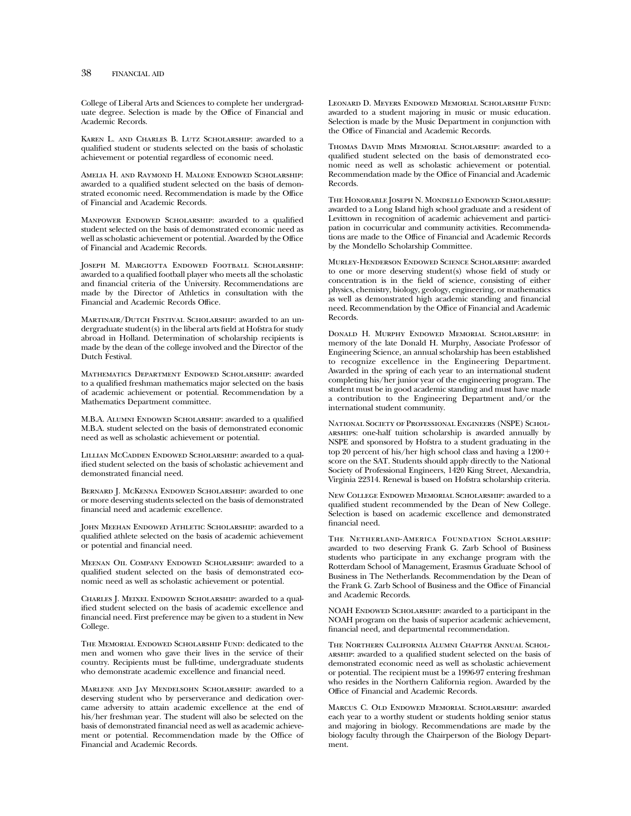College of Liberal Arts and Sciences to complete her undergraduate degree. Selection is made by the Office of Financial and Academic Records.

Karen L. and Charles B. Lutz Scholarship: awarded to a qualified student or students selected on the basis of scholastic achievement or potential regardless of economic need.

Amelia H. and Raymond H. Malone Endowed Scholarship: awarded to a qualified student selected on the basis of demonstrated economic need. Recommendation is made by the Office of Financial and Academic Records.

MANPOWER ENDOWED SCHOLARSHIP: awarded to a qualified student selected on the basis of demonstrated economic need as well as scholastic achievement or potential. Awarded by the Office of Financial and Academic Records.

Joseph M. Margiotta Endowed Football Scholarship: awarded to a qualified football player who meets all the scholastic and financial criteria of the University. Recommendations are made by the Director of Athletics in consultation with the Financial and Academic Records Office.

Martinair/Dutch Festival Scholarship: awarded to an undergraduate student(s) in the liberal arts field at Hofstra for study abroad in Holland. Determination of scholarship recipients is made by the dean of the college involved and the Director of the Dutch Festival.

Mathematics Department Endowed Scholarship: awarded to a qualified freshman mathematics major selected on the basis of academic achievement or potential. Recommendation by a Mathematics Department committee.

M.B.A. Alumni Endowed Scholarship: awarded to a qualified M.B.A. student selected on the basis of demonstrated economic need as well as scholastic achievement or potential.

LILLIAN McCADDEN ENDOWED SCHOLARSHIP: awarded to a qualified student selected on the basis of scholastic achievement and demonstrated financial need.

BERNARD J. MCKENNA ENDOWED SCHOLARSHIP: awarded to one or more deserving students selected on the basis of demonstrated financial need and academic excellence.

John Meehan Endowed Athletic Scholarship: awarded to a qualified athlete selected on the basis of academic achievement or potential and financial need.

Meenan Oil Company Endowed Scholarship: awarded to a qualified student selected on the basis of demonstrated economic need as well as scholastic achievement or potential.

Charles J. Meixel Endowed Scholarship: awarded to a qualified student selected on the basis of academic excellence and financial need. First preference may be given to a student in New College.

The Memorial Endowed Scholarship Fund: dedicated to the men and women who gave their lives in the service of their country. Recipients must be full-time, undergraduate students who demonstrate academic excellence and financial need.

Marlene and Jay Mendelsohn Scholarship: awarded to a deserving student who by perserverance and dedication overcame adversity to attain academic excellence at the end of his/her freshman year. The student will also be selected on the basis of demonstrated financial need as well as academic achievement or potential. Recommendation made by the Office of Financial and Academic Records.

Leonard D. Meyers Endowed Memorial Scholarship Fund: awarded to a student majoring in music or music education. Selection is made by the Music Department in conjunction with the Office of Financial and Academic Records.

Thomas David Mims Memorial Scholarship: awarded to a qualified student selected on the basis of demonstrated economic need as well as scholastic achievement or potential. Recommendation made by the Office of Financial and Academic Records.

The Honorable Joseph N. Mondello Endowed Scholarship: awarded to a Long Island high school graduate and a resident of Levittown in recognition of academic achievement and participation in cocurricular and community activities. Recommendations are made to the Office of Financial and Academic Records by the Mondello Scholarship Committee.

Murley-Henderson Endowed Science Scholarship: awarded to one or more deserving student(s) whose field of study or concentration is in the field of science, consisting of either physics, chemistry, biology, geology, engineering, or mathematics as well as demonstrated high academic standing and financial need. Recommendation by the Office of Financial and Academic Records.

Donald H. Murphy Endowed Memorial Scholarship: in memory of the late Donald H. Murphy, Associate Professor of Engineering Science, an annual scholarship has been established to recognize excellence in the Engineering Department. Awarded in the spring of each year to an international student completing his/her junior year of the engineering program. The student must be in good academic standing and must have made a contribution to the Engineering Department and/or the international student community.

National Society of Professional Engineers (NSPE) Scholarships: one-half tuition scholarship is awarded annually by NSPE and sponsored by Hofstra to a student graduating in the top 20 percent of his/her high school class and having a  $1200+$ score on the SAT. Students should apply directly to the National Society of Professional Engineers, 1420 King Street, Alexandria, Virginia 22314. Renewal is based on Hofstra scholarship criteria.

New College Endowed Memorial Scholarship: awarded to a qualified student recommended by the Dean of New College. Selection is based on academic excellence and demonstrated financial need.

The Netherland-America Foundation Scholarship: awarded to two deserving Frank G. Zarb School of Business students who participate in any exchange program with the Rotterdam School of Management, Erasmus Graduate School of Business in The Netherlands. Recommendation by the Dean of the Frank G. Zarb School of Business and the Office of Financial and Academic Records.

NOAH ENDOWED SCHOLARSHIP: awarded to a participant in the NOAH program on the basis of superior academic achievement, financial need, and departmental recommendation.

The Northern California Alumni Chapter Annual Scholarship: awarded to a qualified student selected on the basis of demonstrated economic need as well as scholastic achievement or potential. The recipient must be a 1996-97 entering freshman who resides in the Northern California region. Awarded by the Office of Financial and Academic Records.

Marcus C. Old Endowed Memorial Scholarship: awarded each year to a worthy student or students holding senior status and majoring in biology. Recommendations are made by the biology faculty through the Chairperson of the Biology Department.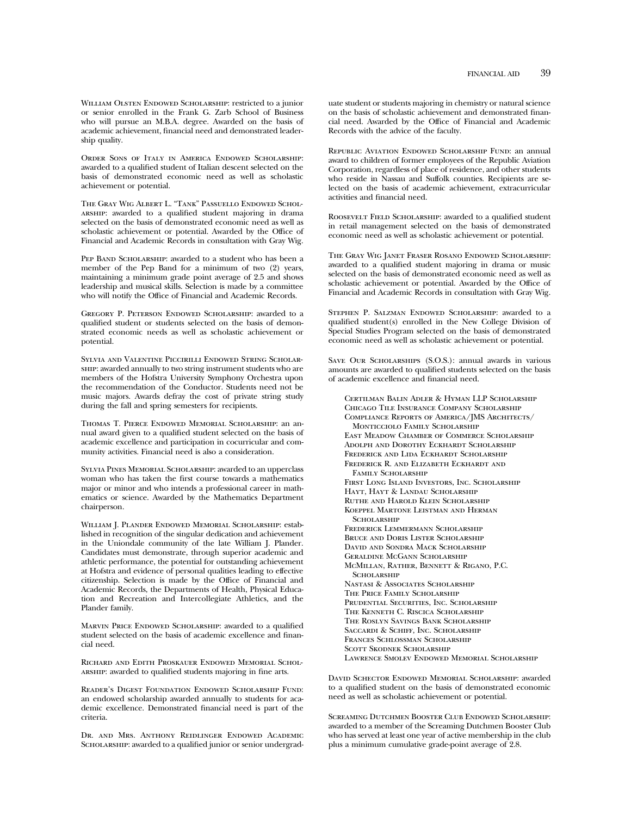William Olsten Endowed Scholarship: restricted to a junior or senior enrolled in the Frank G. Zarb School of Business who will pursue an M.B.A. degree. Awarded on the basis of academic achievement, financial need and demonstrated leadership quality.

Order Sons of Italy in America Endowed Scholarship: awarded to a qualified student of Italian descent selected on the basis of demonstrated economic need as well as scholastic achievement or potential.

The Gray Wig Albert L. "Tank" Passuello Endowed Scholarship: awarded to a qualified student majoring in drama selected on the basis of demonstrated economic need as well as scholastic achievement or potential. Awarded by the Office of Financial and Academic Records in consultation with Gray Wig.

PEP BAND SCHOLARSHIP: awarded to a student who has been a member of the Pep Band for a minimum of two (2) years, maintaining a minimum grade point average of 2.5 and shows leadership and musical skills. Selection is made by a committee who will notify the Office of Financial and Academic Records.

Gregory P. Peterson Endowed Scholarship: awarded to a qualified student or students selected on the basis of demonstrated economic needs as well as scholastic achievement or potential.

Sylvia and Valentine Piccirilli Endowed String Scholarship: awarded annually to two string instrument students who are members of the Hofstra University Symphony Orchestra upon the recommendation of the Conductor. Students need not be music majors. Awards defray the cost of private string study during the fall and spring semesters for recipients.

Thomas T. Pierce Endowed Memorial Scholarship: an annual award given to a qualified student selected on the basis of academic excellence and participation in cocurricular and community activities. Financial need is also a consideration.

Sylvia Pines Memorial Scholarship: awarded to an upperclass woman who has taken the first course towards a mathematics major or minor and who intends a professional career in mathematics or science. Awarded by the Mathematics Department chairperson.

William J. Plander Endowed Memorial Scholarship: established in recognition of the singular dedication and achievement in the Uniondale community of the late William J. Plander. Candidates must demonstrate, through superior academic and athletic performance, the potential for outstanding achievement at Hofstra and evidence of personal qualities leading to effective citizenship. Selection is made by the Office of Financial and Academic Records, the Departments of Health, Physical Education and Recreation and Intercollegiate Athletics, and the Plander family.

MARVIN PRICE ENDOWED SCHOLARSHIP: awarded to a qualified student selected on the basis of academic excellence and financial need.

Richard and Edith Proskauer Endowed Memorial Scholarship: awarded to qualified students majoring in fine arts.

Reader's Digest Foundation Endowed Scholarship Fund: an endowed scholarship awarded annually to students for academic excellence. Demonstrated financial need is part of the criteria.

Dr. and Mrs. Anthony Reidlinger Endowed Academic SCHOLARSHIP: awarded to a qualified junior or senior undergraduate student or students majoring in chemistry or natural science on the basis of scholastic achievement and demonstrated financial need. Awarded by the Office of Financial and Academic Records with the advice of the faculty.

Republic Aviation Endowed Scholarship Fund: an annual award to children of former employees of the Republic Aviation Corporation, regardless of place of residence, and other students who reside in Nassau and Suffolk counties. Recipients are selected on the basis of academic achievement, extracurricular activities and financial need.

Roosevelt Field Scholarship: awarded to a qualified student in retail management selected on the basis of demonstrated economic need as well as scholastic achievement or potential.

The Gray Wig Janet Fraser Rosano Endowed Scholarship: awarded to a qualified student majoring in drama or music selected on the basis of demonstrated economic need as well as scholastic achievement or potential. Awarded by the Office of Financial and Academic Records in consultation with Gray Wig.

Stephen P. Salzman Endowed Scholarship: awarded to a qualified student(s) enrolled in the New College Division of Special Studies Program selected on the basis of demonstrated economic need as well as scholastic achievement or potential.

Save Our Scholarships (S.O.S.): annual awards in various amounts are awarded to qualified students selected on the basis of academic excellence and financial need.

Certilman Balin Adler & Hyman LLP Scholarship Chicago Tile Insurance Company Scholarship Compliance Reports of America/JMS Architects/ Monticciolo Family Scholarship East Meadow Chamber of Commerce Scholarship Adolph and Dorothy Eckhardt Scholarship Frederick and Lida Eckhardt Scholarship Frederick R. and Elizabeth Eckhardt and FAMILY SCHOLARSHIP First Long Island Investors, Inc. Scholarship Hayt, Hayt & Landau Scholarship Ruthe and Harold Klein Scholarship Koeppel Martone Leistman and Herman **SCHOLARSHIP** Frederick Lemmermann Scholarship Bruce and Doris Lister Scholarship David and Sondra Mack Scholarship Geraldine McGann Scholarship McMillan, Rather, Bennett & Rigano, P.C. **SCHOLARSHIP** Nastasi & Associates Scholarship The Price Family Scholarship Prudential Securities, Inc. Scholarship The Kenneth C. Riscica Scholarship The Roslyn Savings Bank Scholarship Saccardi & Schiff, Inc. Scholarship Frances Schlossman Scholarship Scott Skodnek Scholarship Lawrence Smolev Endowed Memorial Scholarship

David Schector Endowed Memorial Scholarship: awarded to a qualified student on the basis of demonstrated economic need as well as scholastic achievement or potential.

Screaming Dutchmen Booster Club Endowed Scholarship: awarded to a member of the Screaming Dutchmen Booster Club who has served at least one year of active membership in the club plus a minimum cumulative grade-point average of 2.8.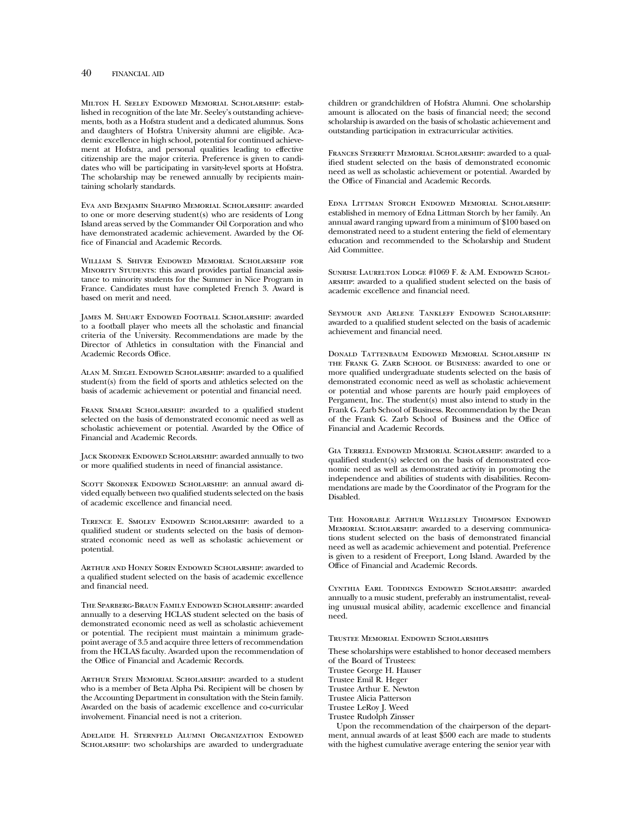Milton H. Seeley Endowed Memorial Scholarship: established in recognition of the late Mr. Seeley's outstanding achievements, both as a Hofstra student and a dedicated alumnus. Sons and daughters of Hofstra University alumni are eligible. Academic excellence in high school, potential for continued achievement at Hofstra, and personal qualities leading to effective citizenship are the major criteria. Preference is given to candidates who will be participating in varsity-level sports at Hofstra. The scholarship may be renewed annually by recipients maintaining scholarly standards.

Eva and Benjamin Shapiro Memorial Scholarship: awarded to one or more deserving student(s) who are residents of Long Island areas served by the Commander Oil Corporation and who have demonstrated academic achievement. Awarded by the Office of Financial and Academic Records.

William S. Shiver Endowed Memorial Scholarship for MINORITY STUDENTS: this award provides partial financial assistance to minority students for the Summer in Nice Program in France. Candidates must have completed French 3. Award is based on merit and need.

James M. Shuart Endowed Football Scholarship: awarded to a football player who meets all the scholastic and financial criteria of the University. Recommendations are made by the Director of Athletics in consultation with the Financial and Academic Records Office.

Alan M. Siegel Endowed Scholarship: awarded to a qualified student(s) from the field of sports and athletics selected on the basis of academic achievement or potential and financial need.

FRANK SIMARI SCHOLARSHIP: awarded to a qualified student selected on the basis of demonstrated economic need as well as scholastic achievement or potential. Awarded by the Office of Financial and Academic Records.

Jack Skodnek Endowed Scholarship: awarded annually to two or more qualified students in need of financial assistance.

SCOTT SKODNEK ENDOWED SCHOLARSHIP: an annual award divided equally between two qualified students selected on the basis of academic excellence and financial need.

Terence E. Smolev Endowed Scholarship: awarded to a qualified student or students selected on the basis of demonstrated economic need as well as scholastic achievement or potential.

Arthur and Honey Sorin Endowed Scholarship: awarded to a qualified student selected on the basis of academic excellence and financial need.

The Sparberg-Braun Family Endowed Scholarship: awarded annually to a deserving HCLAS student selected on the basis of demonstrated economic need as well as scholastic achievement or potential. The recipient must maintain a minimum gradepoint average of 3.5 and acquire three letters of recommendation from the HCLAS faculty. Awarded upon the recommendation of the Office of Financial and Academic Records.

Arthur Stein Memorial Scholarship: awarded to a student who is a member of Beta Alpha Psi. Recipient will be chosen by the Accounting Department in consultation with the Stein family. Awarded on the basis of academic excellence and co-curricular involvement. Financial need is not a criterion.

Adelaide H. Sternfeld Alumni Organization Endowed Scholarship: two scholarships are awarded to undergraduate children or grandchildren of Hofstra Alumni. One scholarship amount is allocated on the basis of financial need; the second scholarship is awarded on the basis of scholastic achievement and outstanding participation in extracurricular activities.

FRANCES STERRETT MEMORIAL SCHOLARSHIP: awarded to a qualified student selected on the basis of demonstrated economic need as well as scholastic achievement or potential. Awarded by the Office of Financial and Academic Records.

Edna Littman Storch Endowed Memorial Scholarship: established in memory of Edna Littman Storch by her family. An annual award ranging upward from a minimum of \$100 based on demonstrated need to a student entering the field of elementary education and recommended to the Scholarship and Student Aid Committee.

SUNRISE LAURELTON LODGE #1069 F. & A.M. ENDOWED SCHOLarship: awarded to a qualified student selected on the basis of academic excellence and financial need.

Seymour and Arlene Tankleff Endowed Scholarship: awarded to a qualified student selected on the basis of academic achievement and financial need.

Donald Tattenbaum Endowed Memorial Scholarship in the Frank G. Zarb School of Business: awarded to one or more qualified undergraduate students selected on the basis of demonstrated economic need as well as scholastic achievement or potential and whose parents are hourly paid employees of Pergament, Inc. The student(s) must also intend to study in the Frank G. Zarb School of Business. Recommendation by the Dean of the Frank G. Zarb School of Business and the Office of Financial and Academic Records.

Gia Terrell Endowed Memorial Scholarship: awarded to a qualified student(s) selected on the basis of demonstrated economic need as well as demonstrated activity in promoting the independence and abilities of students with disabilities. Recommendations are made by the Coordinator of the Program for the Disabled.

The Honorable Arthur Wellesley Thompson Endowed Memorial Scholarship: awarded to a deserving communications student selected on the basis of demonstrated financial need as well as academic achievement and potential. Preference is given to a resident of Freeport, Long Island. Awarded by the Office of Financial and Academic Records.

Cynthia Earl Toddings Endowed Scholarship: awarded annually to a music student, preferably an instrumentalist, revealing unusual musical ability, academic excellence and financial need.

Trustee Memorial Endowed Scholarships

These scholarships were established to honor deceased members of the Board of Trustees:

Trustee George H. Hauser

Trustee Emil R. Heger

Trustee Arthur E. Newton

Trustee Alicia Patterson

Trustee LeRoy J. Weed

Trustee Rudolph Zinsser

Upon the recommendation of the chairperson of the department, annual awards of at least \$500 each are made to students with the highest cumulative average entering the senior year with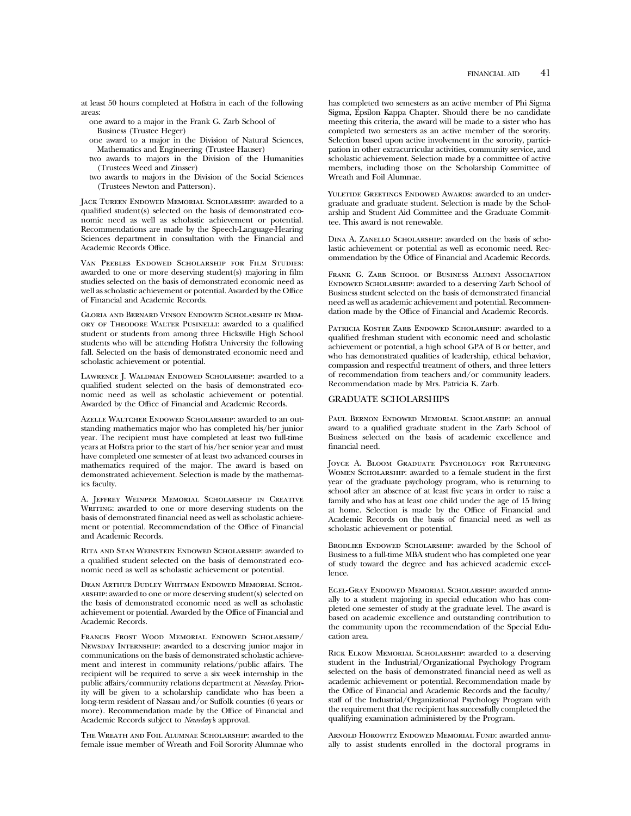at least 50 hours completed at Hofstra in each of the following areas:

one award to a major in the Frank G. Zarb School of Business (Trustee Heger)

one award to a major in the Division of Natural Sciences, Mathematics and Engineering (Trustee Hauser)

two awards to majors in the Division of the Humanities (Trustees Weed and Zinsser)

two awards to majors in the Division of the Social Sciences (Trustees Newton and Patterson).

Jack Tureen Endowed Memorial Scholarship: awarded to a qualified student(s) selected on the basis of demonstrated economic need as well as scholastic achievement or potential. Recommendations are made by the Speech-Language-Hearing Sciences department in consultation with the Financial and Academic Records Office.

Van Peebles Endowed Scholarship for Film Studies: awarded to one or more deserving student(s) majoring in film studies selected on the basis of demonstrated economic need as well as scholastic achievement or potential. Awarded by the Office of Financial and Academic Records.

Gloria and Bernard Vinson Endowed Scholarship in Memory of Theodore Walter Pusinelli: awarded to a qualified student or students from among three Hicksville High School students who will be attending Hofstra University the following fall. Selected on the basis of demonstrated economic need and scholastic achievement or potential.

Lawrence J. Waldman Endowed Scholarship: awarded to a qualified student selected on the basis of demonstrated economic need as well as scholastic achievement or potential. Awarded by the Office of Financial and Academic Records.

Azelle Waltcher Endowed Scholarship: awarded to an outstanding mathematics major who has completed his/her junior year. The recipient must have completed at least two full-time years at Hofstra prior to the start of his/her senior year and must have completed one semester of at least two advanced courses in mathematics required of the major. The award is based on demonstrated achievement. Selection is made by the mathematics faculty.

A. Jeffrey Weinper Memorial Scholarship in Creative WRITING: awarded to one or more deserving students on the basis of demonstrated financial need as well as scholastic achievement or potential. Recommendation of the Office of Financial and Academic Records.

Rita and Stan Weinstein Endowed Scholarship: awarded to a qualified student selected on the basis of demonstrated economic need as well as scholastic achievement or potential.

Dean Arthur Dudley Whitman Endowed Memorial Scholarship: awarded to one or more deserving student(s) selected on the basis of demonstrated economic need as well as scholastic achievement or potential. Awarded by the Office of Financial and Academic Records.

Francis Frost Wood Memorial Endowed Scholarship/ Newsday Internship: awarded to a deserving junior major in communications on the basis of demonstrated scholastic achievement and interest in community relations/public affairs. The recipient will be required to serve a six week internship in the public affairs/community relations department at *Newsday*. Priority will be given to a scholarship candidate who has been a long-term resident of Nassau and/or Suffolk counties (6 years or more). Recommendation made by the Office of Financial and Academic Records subject to *Newsday'*s approval.

The Wreath and Foil Alumnae Scholarship: awarded to the female issue member of Wreath and Foil Sorority Alumnae who

has completed two semesters as an active member of Phi Sigma Sigma, Epsilon Kappa Chapter. Should there be no candidate meeting this criteria, the award will be made to a sister who has completed two semesters as an active member of the sorority. Selection based upon active involvement in the sorority, participation in other extracurricular activities, community service, and scholastic achievement. Selection made by a committee of active members, including those on the Scholarship Committee of Wreath and Foil Alumnae.

YULETIDE GREETINGS ENDOWED AWARDS: awarded to an undergraduate and graduate student. Selection is made by the Scholarship and Student Aid Committee and the Graduate Committee. This award is not renewable.

Dina A. Zanello Scholarship: awarded on the basis of scholastic achievement or potential as well as economic need. Recommendation by the Office of Financial and Academic Records.

FRANK G. ZARB SCHOOL OF BUSINESS ALUMNI ASSOCIATION ENDOWED SCHOLARSHIP: awarded to a deserving Zarb School of Business student selected on the basis of demonstrated financial need as well as academic achievement and potential. Recommendation made by the Office of Financial and Academic Records.

PATRICIA KOSTER ZARB ENDOWED SCHOLARSHIP: awarded to a qualified freshman student with economic need and scholastic achievement or potential, a high school GPA of B or better, and who has demonstrated qualities of leadership, ethical behavior, compassion and respectful treatment of others, and three letters of recommendation from teachers and/or community leaders. Recommendation made by Mrs. Patricia K. Zarb.

#### GRADUATE SCHOLARSHIPS

Paul Bernon Endowed Memorial Scholarship: an annual award to a qualified graduate student in the Zarb School of Business selected on the basis of academic excellence and financial need.

JOYCE A. BLOOM GRADUATE PSYCHOLOGY FOR RETURNING Women Scholarship: awarded to a female student in the first year of the graduate psychology program, who is returning to school after an absence of at least five years in order to raise a family and who has at least one child under the age of 15 living at home. Selection is made by the Office of Financial and Academic Records on the basis of financial need as well as scholastic achievement or potential.

BRODLIEB ENDOWED SCHOLARSHIP: awarded by the School of Business to a full-time MBA student who has completed one year of study toward the degree and has achieved academic excellence.

Egel-Gray Endowed Memorial Scholarship: awarded annually to a student majoring in special education who has completed one semester of study at the graduate level. The award is based on academic excellence and outstanding contribution to the community upon the recommendation of the Special Education area.

Rick Elkow Memorial Scholarship: awarded to a deserving student in the Industrial/Organizational Psychology Program selected on the basis of demonstrated financial need as well as academic achievement or potential. Recommendation made by the Office of Financial and Academic Records and the faculty/ staff of the Industrial/Organizational Psychology Program with the requirement that the recipient has successfully completed the qualifying examination administered by the Program.

Arnold Horowitz Endowed Memorial Fund: awarded annually to assist students enrolled in the doctoral programs in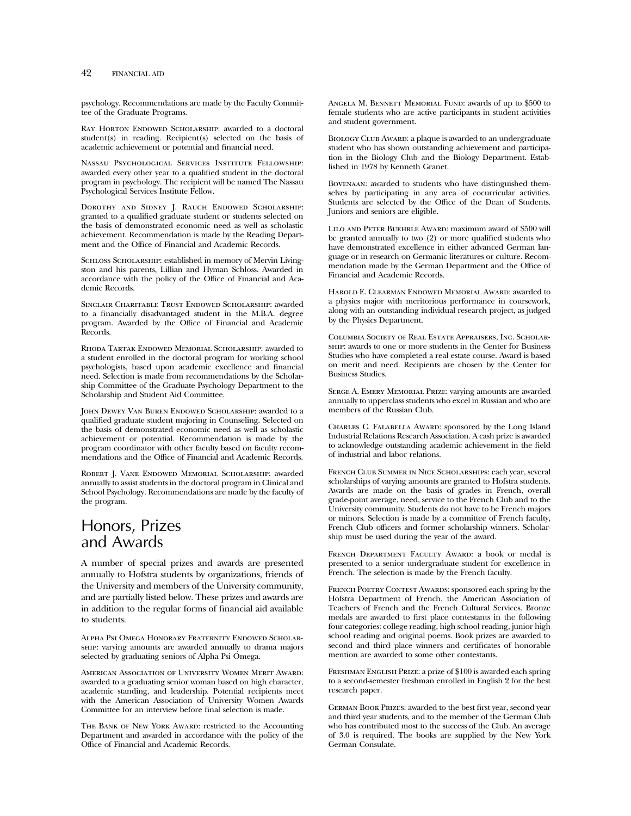psychology. Recommendations are made by the Faculty Committee of the Graduate Programs.

RAY HORTON ENDOWED SCHOLARSHIP: awarded to a doctoral student(s) in reading. Recipient(s) selected on the basis of academic achievement or potential and financial need.

Nassau Psychological Services Institute Fellowship: awarded every other year to a qualified student in the doctoral program in psychology. The recipient will be named The Nassau Psychological Services Institute Fellow.

Dorothy and Sidney J. Rauch Endowed Scholarship: granted to a qualified graduate student or students selected on the basis of demonstrated economic need as well as scholastic achievement. Recommendation is made by the Reading Department and the Office of Financial and Academic Records.

SCHLOSS SCHOLARSHIP: established in memory of Mervin Livingston and his parents, Lillian and Hyman Schloss. Awarded in accordance with the policy of the Office of Financial and Academic Records.

Sinclair Charitable Trust Endowed Scholarship: awarded to a financially disadvantaged student in the M.B.A. degree program. Awarded by the Office of Financial and Academic Records.

Rhoda Tartak Endowed Memorial Scholarship: awarded to a student enrolled in the doctoral program for working school psychologists, based upon academic excellence and financial need. Selection is made from recommendations by the Scholarship Committee of the Graduate Psychology Department to the Scholarship and Student Aid Committee.

John Dewey Van Buren Endowed Scholarship: awarded to a qualified graduate student majoring in Counseling. Selected on the basis of demonstrated economic need as well as scholastic achievement or potential. Recommendation is made by the program coordinator with other faculty based on faculty recommendations and the Office of Financial and Academic Records.

Robert J. Vane Endowed Memorial Scholarship: awarded annually to assist students in the doctoral program in Clinical and School Psychology. Recommendations are made by the faculty of the program.

# Honors, Prizes and Awards

A number of special prizes and awards are presented annually to Hofstra students by organizations, friends of the University and members of the University community, and are partially listed below. These prizes and awards are in addition to the regular forms of financial aid available to students.

Alpha Psi Omega Honorary Fraternity Endowed Scholarship: varying amounts are awarded annually to drama majors selected by graduating seniors of Alpha Psi Omega.

American Association of University Women Merit Award: awarded to a graduating senior woman based on high character, academic standing, and leadership. Potential recipients meet with the American Association of University Women Awards Committee for an interview before final selection is made.

THE BANK OF NEW YORK AWARD: restricted to the Accounting Department and awarded in accordance with the policy of the Office of Financial and Academic Records.

Angela M. Bennett Memorial Fund: awards of up to \$500 to female students who are active participants in student activities and student government.

BIOLOGY CLUB AWARD: a plaque is awarded to an undergraduate student who has shown outstanding achievement and participation in the Biology Club and the Biology Department. Established in 1978 by Kenneth Granet.

Bovenaan: awarded to students who have distinguished themselves by participating in any area of cocurricular activities. Students are selected by the Office of the Dean of Students. Juniors and seniors are eligible.

Lilo and Peter Buehrle Award: maximum award of \$500 will be granted annually to two (2) or more qualified students who have demonstrated excellence in either advanced German language or in research on Germanic literatures or culture. Recommendation made by the German Department and the Office of Financial and Academic Records.

Harold E. Clearman Endowed Memorial Award: awarded to a physics major with meritorious performance in coursework, along with an outstanding individual research project, as judged by the Physics Department.

Columbia Society of Real Estate Appraisers, Inc. Scholarship: awards to one or more students in the Center for Business Studies who have completed a real estate course. Award is based on merit and need. Recipients are chosen by the Center for Business Studies.

Serge A. Emery Memorial Prize: varying amounts are awarded annually to upperclass students who excel in Russian and who are members of the Russian Club.

Charles C. Falabella Award: sponsored by the Long Island Industrial Relations Research Association. A cash prize is awarded to acknowledge outstanding academic achievement in the field of industrial and labor relations.

French Club Summer in Nice Scholarships: each year, several scholarships of varying amounts are granted to Hofstra students. Awards are made on the basis of grades in French, overall grade-point average, need, service to the French Club and to the University community. Students do not have to be French majors or minors. Selection is made by a committee of French faculty, French Club officers and former scholarship winners. Scholarship must be used during the year of the award.

French Department Faculty Award: a book or medal is presented to a senior undergraduate student for excellence in French. The selection is made by the French faculty.

FRENCH POETRY CONTEST AWARDS: sponsored each spring by the Hofstra Department of French, the American Association of Teachers of French and the French Cultural Services. Bronze medals are awarded to first place contestants in the following four categories: college reading, high school reading, junior high school reading and original poems. Book prizes are awarded to second and third place winners and certificates of honorable mention are awarded to some other contestants.

FRESHMAN ENGLISH PRIZE: a prize of \$100 is awarded each spring to a second-semester freshman enrolled in English 2 for the best research paper.

German Book Prizes: awarded to the best first year, second year and third year students, and to the member of the German Club who has contributed most to the success of the Club. An average of 3.0 is required. The books are supplied by the New York German Consulate.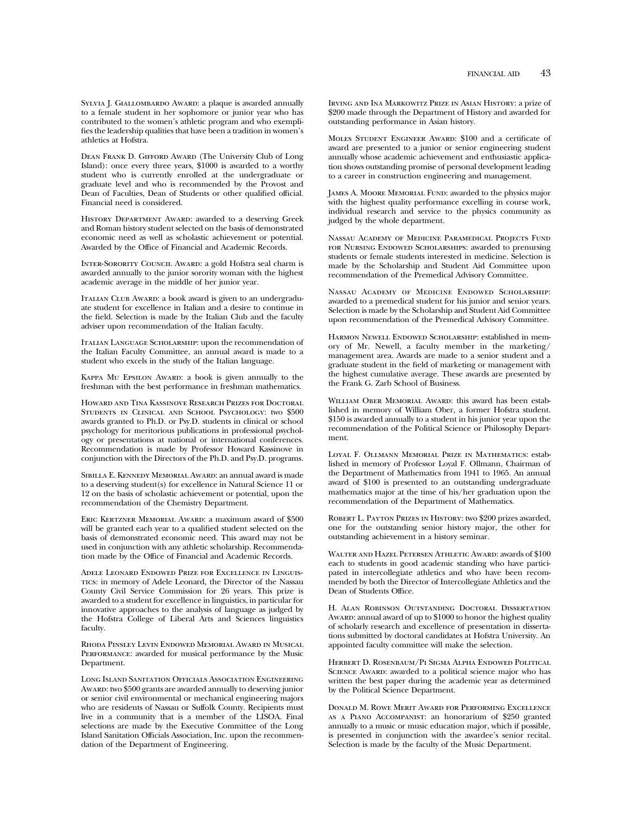SYLVIA J. GIALLOMBARDO AWARD: a plaque is awarded annually to a female student in her sophomore or junior year who has contributed to the women's athletic program and who exemplifies the leadership qualities that have been a tradition in women's athletics at Hofstra.

Dean Frank D. Gifford Award (The University Club of Long Island): once every three years, \$1000 is awarded to a worthy student who is currently enrolled at the undergraduate or graduate level and who is recommended by the Provost and Dean of Faculties, Dean of Students or other qualified official. Financial need is considered.

History Department Award: awarded to a deserving Greek and Roman history student selected on the basis of demonstrated economic need as well as scholastic achievement or potential. Awarded by the Office of Financial and Academic Records.

Inter-Sorority Council Award: a gold Hofstra seal charm is awarded annually to the junior sorority woman with the highest academic average in the middle of her junior year.

ITALIAN CLUB AWARD: a book award is given to an undergraduate student for excellence in Italian and a desire to continue in the field. Selection is made by the Italian Club and the faculty adviser upon recommendation of the Italian faculty.

Italian Language Scholarship: upon the recommendation of the Italian Faculty Committee, an annual award is made to a student who excels in the study of the Italian language.

Kappa Mu Epsilon Award: a book is given annually to the freshman with the best performance in freshman mathematics.

Howard and Tina Kassinove Research Prizes for Doctoral Students in Clinical and School Psychology: two \$500 awards granted to Ph.D. or Psy.D. students in clinical or school psychology for meritorious publications in professional psychology or presentations at national or international conferences. Recommendation is made by Professor Howard Kassinove in conjunction with the Directors of the Ph.D. and Psy.D. programs.

Sibilla E. Kennedy Memorial Award: an annual award is made to a deserving student(s) for excellence in Natural Science 11 or 12 on the basis of scholastic achievement or potential, upon the recommendation of the Chemistry Department.

Eric Kertzner Memorial Award: a maximum award of \$500 will be granted each year to a qualified student selected on the basis of demonstrated economic need. This award may not be used in conjunction with any athletic scholarship. Recommendation made by the Office of Financial and Academic Records.

Adele Leonard Endowed Prize for Excellence in Linguistics: in memory of Adele Leonard, the Director of the Nassau County Civil Service Commission for 26 years. This prize is awarded to a student for excellence in linguistics, in particular for innovative approaches to the analysis of language as judged by the Hofstra College of Liberal Arts and Sciences linguistics faculty.

Rhoda Pinsley Levin Endowed Memorial Award in Musical PERFORMANCE: awarded for musical performance by the Music Department.

Long Island Sanitation Officials Association Engineering Award: two \$500 grants are awarded annually to deserving junior or senior civil environmental or mechanical engineering majors who are residents of Nassau or Suffolk County. Recipients must live in a community that is a member of the LISOA. Final selections are made by the Executive Committee of the Long Island Sanitation Officials Association, Inc. upon the recommendation of the Department of Engineering.

Irving and Ina Markowitz Prize in Asian History: a prize of \$200 made through the Department of History and awarded for outstanding performance in Asian history.

MOLES STUDENT ENGINEER AWARD: \$100 and a certificate of award are presented to a junior or senior engineering student annually whose academic achievement and enthusiastic application shows outstanding promise of personal development leading to a career in construction engineering and management.

James A. Moore Memorial Fund: awarded to the physics major with the highest quality performance excelling in course work, individual research and service to the physics community as judged by the whole department.

Nassau Academy of Medicine Paramedical Projects Fund FOR NURSING ENDOWED SCHOLARSHIPS: awarded to prenursing students or female students interested in medicine. Selection is made by the Scholarship and Student Aid Committee upon recommendation of the Premedical Advisory Committee.

Nassau Academy of Medicine Endowed Scholarship: awarded to a premedical student for his junior and senior years. Selection is made by the Scholarship and Student Aid Committee upon recommendation of the Premedical Advisory Committee.

Harmon Newell Endowed Scholarship: established in memory of Mr. Newell, a faculty member in the marketing/ management area. Awards are made to a senior student and a graduate student in the field of marketing or management with the highest cumulative average. These awards are presented by the Frank G. Zarb School of Business.

WILLIAM OBER MEMORIAL AWARD: this award has been established in memory of William Ober, a former Hofstra student. \$150 is awarded annually to a student in his junior year upon the recommendation of the Political Science or Philosophy Department.

Loyal F. Ollmann Memorial Prize in Mathematics: established in memory of Professor Loyal F. Ollmann, Chairman of the Department of Mathematics from 1941 to 1965. An annual award of \$100 is presented to an outstanding undergraduate mathematics major at the time of his/her graduation upon the recommendation of the Department of Mathematics.

Robert L. Payton Prizes in History: two \$200 prizes awarded, one for the outstanding senior history major, the other for outstanding achievement in a history seminar.

Walter and Hazel Petersen Athletic Award: awards of \$100 each to students in good academic standing who have participated in intercollegiate athletics and who have been recommended by both the Director of Intercollegiate Athletics and the Dean of Students Office.

H. Alan Robinson Outstanding Doctoral Dissertation Award: annual award of up to \$1000 to honor the highest quality of scholarly research and excellence of presentation in dissertations submitted by doctoral candidates at Hofstra University. An appointed faculty committee will make the selection.

Herbert D. Rosenbaum/Pi Sigma Alpha Endowed Political SCIENCE AWARD: awarded to a political science major who has written the best paper during the academic year as determined by the Political Science Department.

Donald M. Rowe Merit Award for Performing Excellence as a Piano Accompanist: an honorarium of \$250 granted annually to a music or music education major, which if possible, is presented in conjunction with the awardee's senior recital. Selection is made by the faculty of the Music Department.